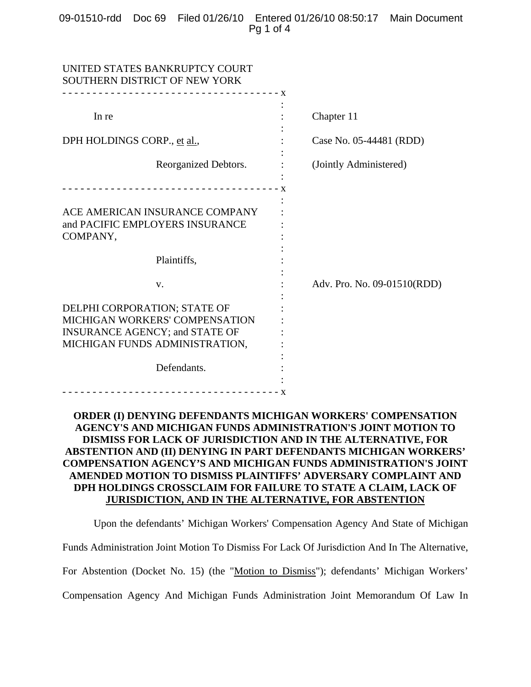|  | 09-01510-rdd Doc 69 Filed 01/26/10 Entered 01/26/10 08:50:17 Main Document |  |
|--|----------------------------------------------------------------------------|--|
|  | Pg 1 of 4                                                                  |  |

| UNITED STATES BANKRUPTCY COURT<br>SOUTHERN DISTRICT OF NEW YORK                                                                           |                             |
|-------------------------------------------------------------------------------------------------------------------------------------------|-----------------------------|
| In re                                                                                                                                     | Chapter 11                  |
| DPH HOLDINGS CORP., et al.,                                                                                                               | Case No. 05-44481 (RDD)     |
| Reorganized Debtors.                                                                                                                      | (Jointly Administered)      |
| ACE AMERICAN INSURANCE COMPANY<br>and PACIFIC EMPLOYERS INSURANCE<br>COMPANY,                                                             |                             |
| Plaintiffs,                                                                                                                               |                             |
| V.                                                                                                                                        | Adv. Pro. No. 09-01510(RDD) |
| DELPHI CORPORATION; STATE OF<br>MICHIGAN WORKERS' COMPENSATION<br><b>INSURANCE AGENCY; and STATE OF</b><br>MICHIGAN FUNDS ADMINISTRATION, |                             |
| Defendants.                                                                                                                               |                             |

# **ORDER (I) DENYING DEFENDANTS MICHIGAN WORKERS' COMPENSATION AGENCY'S AND MICHIGAN FUNDS ADMINISTRATION'S JOINT MOTION TO DISMISS FOR LACK OF JURISDICTION AND IN THE ALTERNATIVE, FOR ABSTENTION AND (II) DENYING IN PART DEFENDANTS MICHIGAN WORKERS' COMPENSATION AGENCY'S AND MICHIGAN FUNDS ADMINISTRATION'S JOINT AMENDED MOTION TO DISMISS PLAINTIFFS' ADVERSARY COMPLAINT AND DPH HOLDINGS CROSSCLAIM FOR FAILURE TO STATE A CLAIM, LACK OF JURISDICTION, AND IN THE ALTERNATIVE, FOR ABSTENTION**

Upon the defendants' Michigan Workers' Compensation Agency And State of Michigan

Funds Administration Joint Motion To Dismiss For Lack Of Jurisdiction And In The Alternative,

For Abstention (Docket No. 15) (the "Motion to Dismiss"); defendants' Michigan Workers'

Compensation Agency And Michigan Funds Administration Joint Memorandum Of Law In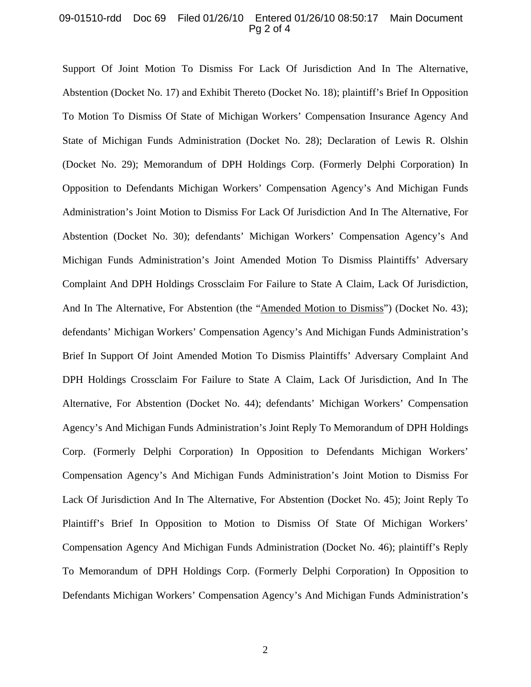## 09-01510-rdd Doc 69 Filed 01/26/10 Entered 01/26/10 08:50:17 Main Document Pg 2 of 4

Support Of Joint Motion To Dismiss For Lack Of Jurisdiction And In The Alternative, Abstention (Docket No. 17) and Exhibit Thereto (Docket No. 18); plaintiff's Brief In Opposition To Motion To Dismiss Of State of Michigan Workers' Compensation Insurance Agency And State of Michigan Funds Administration (Docket No. 28); Declaration of Lewis R. Olshin (Docket No. 29); Memorandum of DPH Holdings Corp. (Formerly Delphi Corporation) In Opposition to Defendants Michigan Workers' Compensation Agency's And Michigan Funds Administration's Joint Motion to Dismiss For Lack Of Jurisdiction And In The Alternative, For Abstention (Docket No. 30); defendants' Michigan Workers' Compensation Agency's And Michigan Funds Administration's Joint Amended Motion To Dismiss Plaintiffs' Adversary Complaint And DPH Holdings Crossclaim For Failure to State A Claim, Lack Of Jurisdiction, And In The Alternative, For Abstention (the "Amended Motion to Dismiss") (Docket No. 43); defendants' Michigan Workers' Compensation Agency's And Michigan Funds Administration's Brief In Support Of Joint Amended Motion To Dismiss Plaintiffs' Adversary Complaint And DPH Holdings Crossclaim For Failure to State A Claim, Lack Of Jurisdiction, And In The Alternative, For Abstention (Docket No. 44); defendants' Michigan Workers' Compensation Agency's And Michigan Funds Administration's Joint Reply To Memorandum of DPH Holdings Corp. (Formerly Delphi Corporation) In Opposition to Defendants Michigan Workers' Compensation Agency's And Michigan Funds Administration's Joint Motion to Dismiss For Lack Of Jurisdiction And In The Alternative, For Abstention (Docket No. 45); Joint Reply To Plaintiff's Brief In Opposition to Motion to Dismiss Of State Of Michigan Workers' Compensation Agency And Michigan Funds Administration (Docket No. 46); plaintiff's Reply To Memorandum of DPH Holdings Corp. (Formerly Delphi Corporation) In Opposition to Defendants Michigan Workers' Compensation Agency's And Michigan Funds Administration's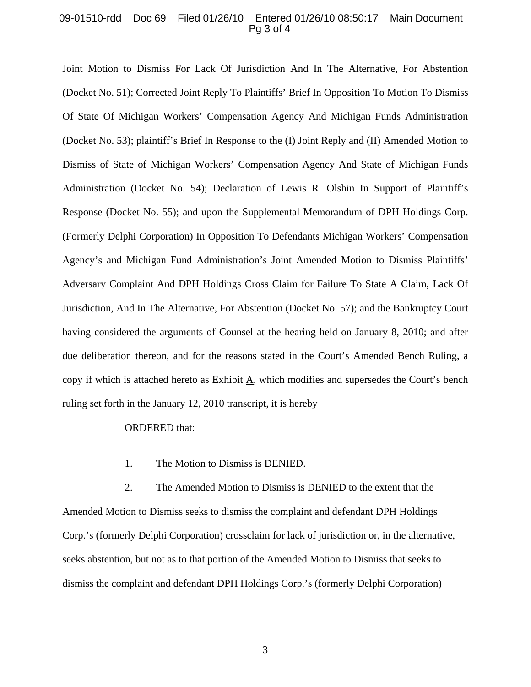## 09-01510-rdd Doc 69 Filed 01/26/10 Entered 01/26/10 08:50:17 Main Document Pg 3 of 4

Joint Motion to Dismiss For Lack Of Jurisdiction And In The Alternative, For Abstention (Docket No. 51); Corrected Joint Reply To Plaintiffs' Brief In Opposition To Motion To Dismiss Of State Of Michigan Workers' Compensation Agency And Michigan Funds Administration (Docket No. 53); plaintiff's Brief In Response to the (I) Joint Reply and (II) Amended Motion to Dismiss of State of Michigan Workers' Compensation Agency And State of Michigan Funds Administration (Docket No. 54); Declaration of Lewis R. Olshin In Support of Plaintiff's Response (Docket No. 55); and upon the Supplemental Memorandum of DPH Holdings Corp. (Formerly Delphi Corporation) In Opposition To Defendants Michigan Workers' Compensation Agency's and Michigan Fund Administration's Joint Amended Motion to Dismiss Plaintiffs' Adversary Complaint And DPH Holdings Cross Claim for Failure To State A Claim, Lack Of Jurisdiction, And In The Alternative, For Abstention (Docket No. 57); and the Bankruptcy Court having considered the arguments of Counsel at the hearing held on January 8, 2010; and after due deliberation thereon, and for the reasons stated in the Court's Amended Bench Ruling, a copy if which is attached hereto as Exhibit  $\underline{A}$ , which modifies and supersedes the Court's bench ruling set forth in the January 12, 2010 transcript, it is hereby

## ORDERED that:

1. The Motion to Dismiss is DENIED.

2. The Amended Motion to Dismiss is DENIED to the extent that the Amended Motion to Dismiss seeks to dismiss the complaint and defendant DPH Holdings Corp.'s (formerly Delphi Corporation) crossclaim for lack of jurisdiction or, in the alternative, seeks abstention, but not as to that portion of the Amended Motion to Dismiss that seeks to dismiss the complaint and defendant DPH Holdings Corp.'s (formerly Delphi Corporation)

3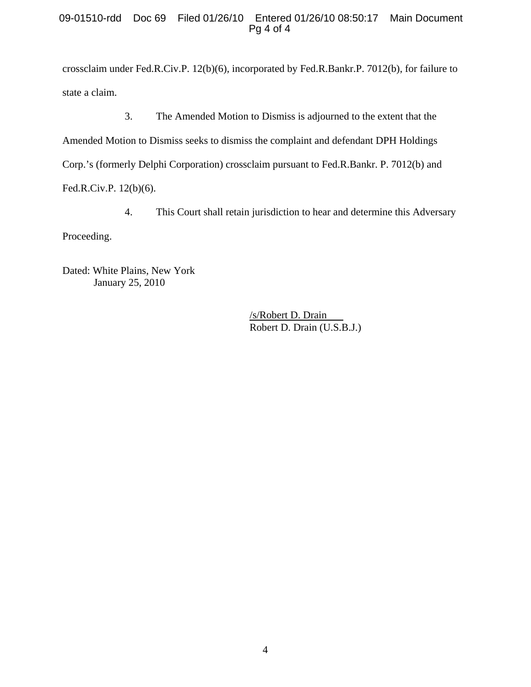# 09-01510-rdd Doc 69 Filed 01/26/10 Entered 01/26/10 08:50:17 Main Document Pg 4 of 4

crossclaim under Fed.R.Civ.P. 12(b)(6), incorporated by Fed.R.Bankr.P. 7012(b), for failure to state a claim.

3. The Amended Motion to Dismiss is adjourned to the extent that the Amended Motion to Dismiss seeks to dismiss the complaint and defendant DPH Holdings Corp.'s (formerly Delphi Corporation) crossclaim pursuant to Fed.R.Bankr. P. 7012(b) and Fed.R.Civ.P. 12(b)(6).

4. This Court shall retain jurisdiction to hear and determine this Adversary Proceeding.

Dated: White Plains, New York January 25, 2010

> /s/Robert D. Drain Robert D. Drain (U.S.B.J.)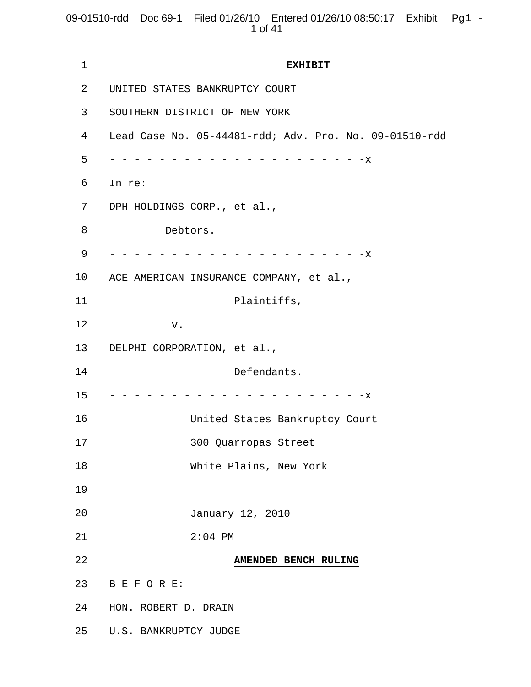09-01510-rdd Doc 69-1 Filed 01/26/10 Entered 01/26/10 08:50:17 Exhibit Pg1 -1 of 41

| 1       | <b>EXHIBIT</b>                                         |
|---------|--------------------------------------------------------|
| 2       | UNITED STATES BANKRUPTCY COURT                         |
| 3       | SOUTHERN DISTRICT OF NEW YORK                          |
| 4       | Lead Case No. 05-44481-rdd; Adv. Pro. No. 09-01510-rdd |
| 5       | – –x                                                   |
| 6       | In re:                                                 |
| 7       | DPH HOLDINGS CORP., et al.,                            |
| 8       | Debtors.                                               |
| 9       | - - - - - - - - - - - X                                |
| $10 \,$ | ACE AMERICAN INSURANCE COMPANY, et al.,                |
| 11      | Plaintiffs,                                            |
| 12      | v.                                                     |
| 13      | DELPHI CORPORATION, et al.,                            |
| 14      | Defendants.                                            |
| 15      | . X                                                    |
| 16      | United States Bankruptcy Court                         |
| 17      | 300 Quarropas Street                                   |
| 18      | White Plains, New York                                 |
| 19      |                                                        |
| 20      | January 12, 2010                                       |
| 21      | $2:04$ PM                                              |
| 22      | AMENDED BENCH RULING                                   |
| 23      | BEFORE:                                                |
| 24      | HON. ROBERT D. DRAIN                                   |
| 25      | U.S. BANKRUPTCY JUDGE                                  |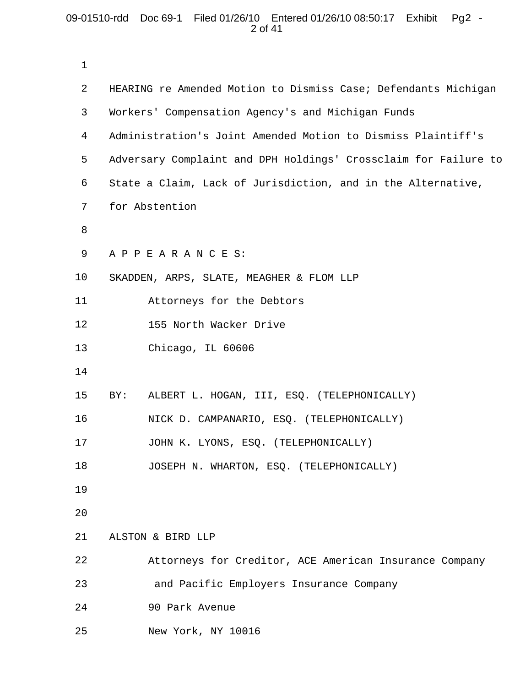## 09-01510-rdd Doc 69-1 Filed 01/26/10 Entered 01/26/10 08:50:17 Exhibit Pg2 -2 of 41

| $\mathbf{1}$ |                                                                 |  |  |  |  |
|--------------|-----------------------------------------------------------------|--|--|--|--|
| 2            | HEARING re Amended Motion to Dismiss Case; Defendants Michigan  |  |  |  |  |
| 3            | Workers' Compensation Agency's and Michigan Funds               |  |  |  |  |
| 4            | Administration's Joint Amended Motion to Dismiss Plaintiff's    |  |  |  |  |
| 5            | Adversary Complaint and DPH Holdings' Crossclaim for Failure to |  |  |  |  |
| 6            | State a Claim, Lack of Jurisdiction, and in the Alternative,    |  |  |  |  |
| 7            | for Abstention                                                  |  |  |  |  |
| 8            |                                                                 |  |  |  |  |
| 9            | APPEARANCES:                                                    |  |  |  |  |
| 10           | SKADDEN, ARPS, SLATE, MEAGHER & FLOM LLP                        |  |  |  |  |
| 11           | Attorneys for the Debtors                                       |  |  |  |  |
| 12           | 155 North Wacker Drive                                          |  |  |  |  |
| 13           | Chicago, IL 60606                                               |  |  |  |  |
| 14           |                                                                 |  |  |  |  |
| 15           | ALBERT L. HOGAN, III, ESQ. (TELEPHONICALLY)<br>BY:              |  |  |  |  |
| 16           | NICK D. CAMPANARIO, ESQ. (TELEPHONICALLY)                       |  |  |  |  |
| 17           | JOHN K. LYONS, ESQ. (TELEPHONICALLY)                            |  |  |  |  |
| 18           | JOSEPH N. WHARTON, ESQ. (TELEPHONICALLY)                        |  |  |  |  |
| 19           |                                                                 |  |  |  |  |
| 20           |                                                                 |  |  |  |  |
| 21           | ALSTON & BIRD LLP                                               |  |  |  |  |
| 22           | Attorneys for Creditor, ACE American Insurance Company          |  |  |  |  |
| 23           | and Pacific Employers Insurance Company                         |  |  |  |  |
| 24           | 90 Park Avenue                                                  |  |  |  |  |
| 25           | New York, NY 10016                                              |  |  |  |  |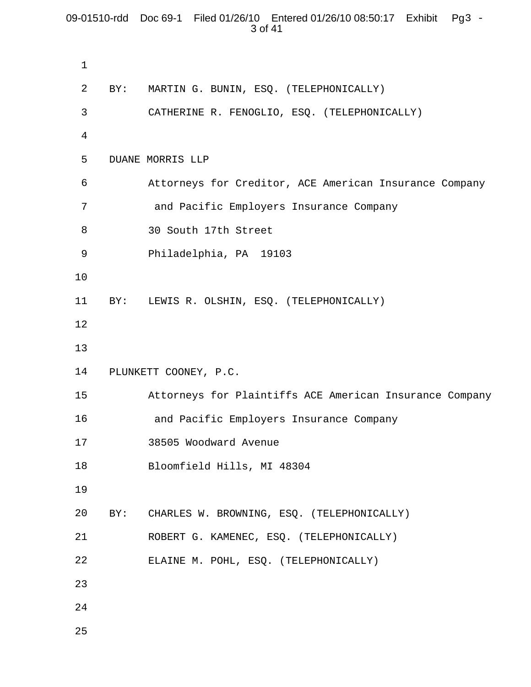## 09-01510-rdd Doc 69-1 Filed 01/26/10 Entered 01/26/10 08:50:17 Exhibit Pg3 -3 of 41

```
1 
 2 
 3 
 4 
 5 
 6 
 7 
 8 
 9 
10 
11 
12 
13 
14 
15 
16 
17 
18 
19 
20 
21 
22 
23 
24 
25 
     BY: MARTIN G. BUNIN, ESQ. (TELEPHONICALLY) 
             CATHERINE R. FENOGLIO, ESQ. (TELEPHONICALLY) 
     DUANE MORRIS LLP 
             Attorneys for Creditor, ACE American Insurance Company 
              and Pacific Employers Insurance Company 
             30 South 17th Street 
             Philadelphia, PA 19103 
     BY: LEWIS R. OLSHIN, ESQ. (TELEPHONICALLY) 
     PLUNKETT COONEY, P.C. 
             Attorneys for Plaintiffs ACE American Insurance Company 
              and Pacific Employers Insurance Company 
             38505 Woodward Avenue 
             Bloomfield Hills, MI 48304 
     BY: CHARLES W. BROWNING, ESQ. (TELEPHONICALLY) 
             ROBERT G. KAMENEC, ESQ. (TELEPHONICALLY) 
             ELAINE M. POHL, ESQ. (TELEPHONICALLY)
```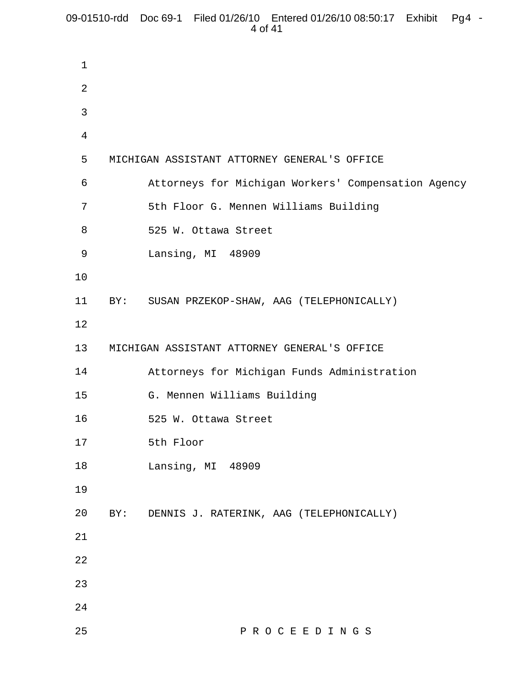```
1 
 2 
 3 
 4 
 5 
 6 
 7 
 8 
 9 
10 
11 
12 
13 
14 
15 
16 
17 
18 
19 
20 
21 
22 
23 
24 
25 
     MICHIGAN ASSISTANT ATTORNEY GENERAL'S OFFICE 
             Attorneys for Michigan Workers' Compensation Agency 
             5th Floor G. Mennen Williams Building 
             525 W. Ottawa Street 
             Lansing, MI 48909 
     BY: SUSAN PRZEKOP-SHAW, AAG (TELEPHONICALLY) 
     MICHIGAN ASSISTANT ATTORNEY GENERAL'S OFFICE 
             Attorneys for Michigan Funds Administration 
             G. Mennen Williams Building 
            525 W. Ottawa Street 
           5th Floor 
            Lansing, MI 48909 
     BY: DENNIS J. RATERINK, AAG (TELEPHONICALLY) 
                             P R O C E E D I N G S
```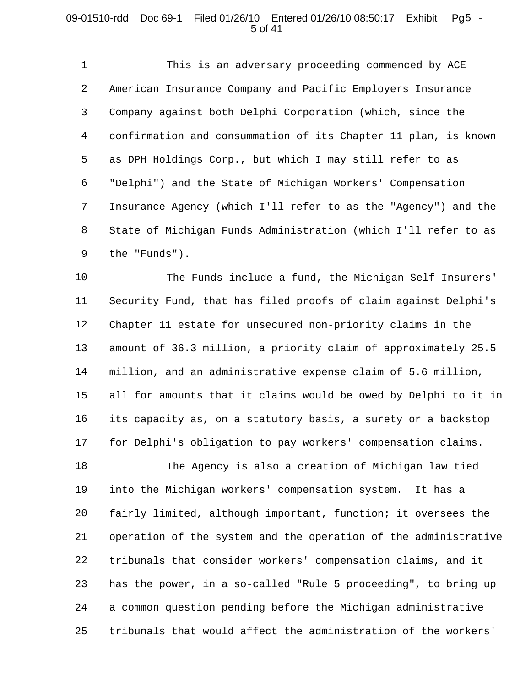## 09-01510-rdd Doc 69-1 Filed 01/26/10 Entered 01/26/10 08:50:17 Exhibit Pg5 -5 of 41

1 2 3 4 5 6 7 8 9 This is an adversary proceeding commenced by ACE American Insurance Company and Pacific Employers Insurance Company against both Delphi Corporation (which, since the confirmation and consummation of its Chapter 11 plan, is known as DPH Holdings Corp., but which I may still refer to as "Delphi") and the State of Michigan Workers' Compensation Insurance Agency (which I'll refer to as the "Agency") and the State of Michigan Funds Administration (which I'll refer to as the "Funds").

10 11 12 13 14 15 16 17 The Funds include a fund, the Michigan Self-Insurers' Security Fund, that has filed proofs of claim against Delphi's Chapter 11 estate for unsecured non-priority claims in the amount of 36.3 million, a priority claim of approximately 25.5 million, and an administrative expense claim of 5.6 million, all for amounts that it claims would be owed by Delphi to it in its capacity as, on a statutory basis, a surety or a backstop for Delphi's obligation to pay workers' compensation claims.

18 19 20 21 22 23 24 25 The Agency is also a creation of Michigan law tied into the Michigan workers' compensation system. It has a fairly limited, although important, function; it oversees the operation of the system and the operation of the administrative tribunals that consider workers' compensation claims, and it has the power, in a so-called "Rule 5 proceeding", to bring up a common question pending before the Michigan administrative tribunals that would affect the administration of the workers'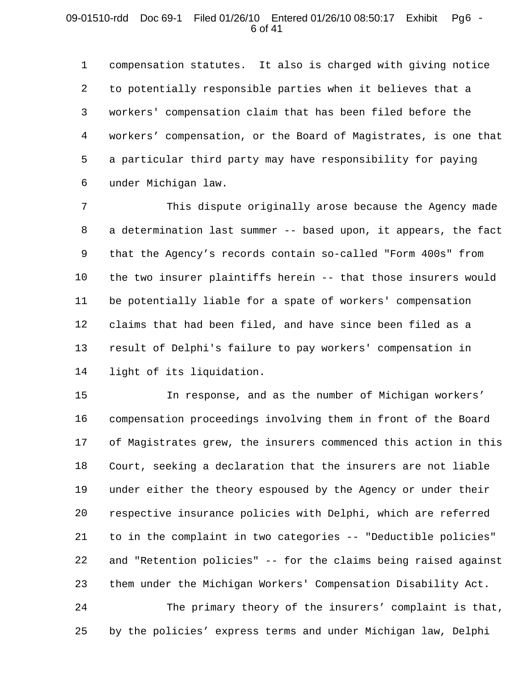## 09-01510-rdd Doc 69-1 Filed 01/26/10 Entered 01/26/10 08:50:17 Exhibit Pg6 -6 of 41

1 2 3 4 5 6 compensation statutes. It also is charged with giving notice to potentially responsible parties when it believes that a workers' compensation claim that has been filed before the workers' compensation, or the Board of Magistrates, is one that a particular third party may have responsibility for paying under Michigan law.

7 8 9 10 11 12 13 14 This dispute originally arose because the Agency made a determination last summer -- based upon, it appears, the fact that the Agency's records contain so-called "Form 400s" from the two insurer plaintiffs herein -- that those insurers would be potentially liable for a spate of workers' compensation claims that had been filed, and have since been filed as a result of Delphi's failure to pay workers' compensation in light of its liquidation.

15 16 17 18 19 20 21 22 23 In response, and as the number of Michigan workers' compensation proceedings involving them in front of the Board of Magistrates grew, the insurers commenced this action in this Court, seeking a declaration that the insurers are not liable under either the theory espoused by the Agency or under their respective insurance policies with Delphi, which are referred to in the complaint in two categories -- "Deductible policies" and "Retention policies" -- for the claims being raised against them under the Michigan Workers' Compensation Disability Act.

24 25 The primary theory of the insurers' complaint is that, by the policies' express terms and under Michigan law, Delphi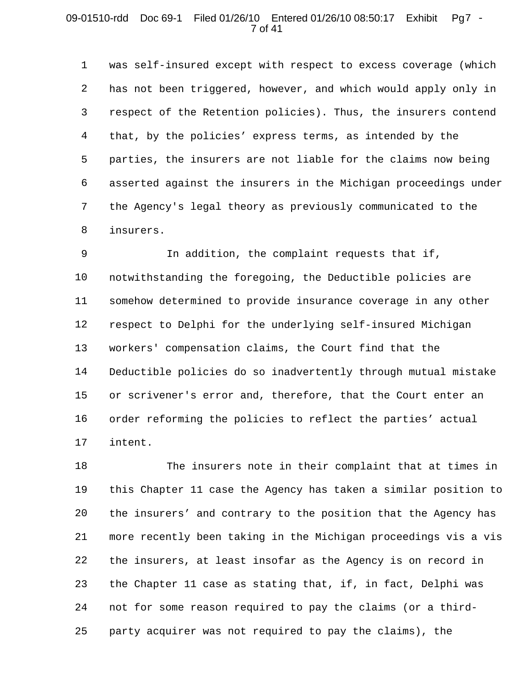## 09-01510-rdd Doc 69-1 Filed 01/26/10 Entered 01/26/10 08:50:17 Exhibit Pg7 -7 of 41

1 2 3 4 5 6 7 8 was self-insured except with respect to excess coverage (which has not been triggered, however, and which would apply only in respect of the Retention policies). Thus, the insurers contend that, by the policies' express terms, as intended by the parties, the insurers are not liable for the claims now being asserted against the insurers in the Michigan proceedings under the Agency's legal theory as previously communicated to the insurers.

9 10 11 12 13 14 15 16 17 In addition, the complaint requests that if, notwithstanding the foregoing, the Deductible policies are somehow determined to provide insurance coverage in any other respect to Delphi for the underlying self-insured Michigan workers' compensation claims, the Court find that the Deductible policies do so inadvertently through mutual mistake or scrivener's error and, therefore, that the Court enter an order reforming the policies to reflect the parties' actual intent.

18 19 20 21 22 23 24 25 The insurers note in their complaint that at times in this Chapter 11 case the Agency has taken a similar position to the insurers' and contrary to the position that the Agency has more recently been taking in the Michigan proceedings vis a vis the insurers, at least insofar as the Agency is on record in the Chapter 11 case as stating that, if, in fact, Delphi was not for some reason required to pay the claims (or a thirdparty acquirer was not required to pay the claims), the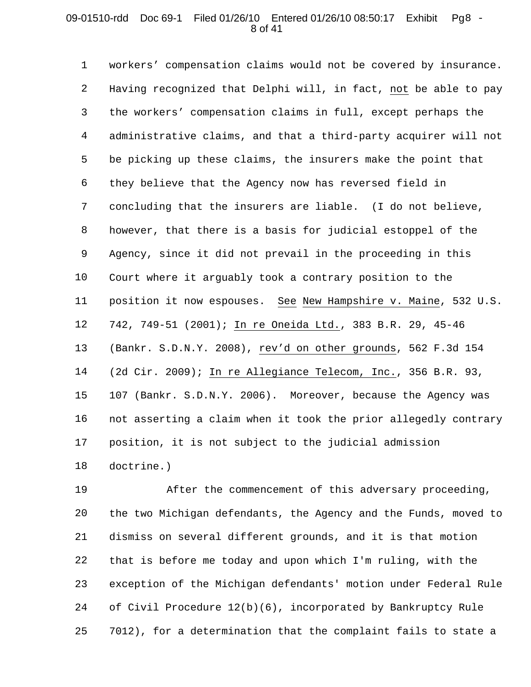## 09-01510-rdd Doc 69-1 Filed 01/26/10 Entered 01/26/10 08:50:17 Exhibit Pg8 -8 of 41

1 2 3 4 5 6 7 8 9 10 11 12 13 14 15 16 17 18 workers' compensation claims would not be covered by insurance. Having recognized that Delphi will, in fact, not be able to pay the workers' compensation claims in full, except perhaps the administrative claims, and that a third-party acquirer will not be picking up these claims, the insurers make the point that they believe that the Agency now has reversed field in concluding that the insurers are liable. (I do not believe, however, that there is a basis for judicial estoppel of the Agency, since it did not prevail in the proceeding in this Court where it arguably took a contrary position to the position it now espouses. See New Hampshire v. Maine, 532 U.S. 742, 749-51 (2001); In re Oneida Ltd., 383 B.R. 29, 45-46 (Bankr. S.D.N.Y. 2008), rev'd on other grounds, 562 F.3d 154 (2d Cir. 2009); In re Allegiance Telecom, Inc., 356 B.R. 93, 107 (Bankr. S.D.N.Y. 2006). Moreover, because the Agency was not asserting a claim when it took the prior allegedly contrary position, it is not subject to the judicial admission doctrine.)

19 20 21 22 23 24 25 After the commencement of this adversary proceeding, the two Michigan defendants, the Agency and the Funds, moved to dismiss on several different grounds, and it is that motion that is before me today and upon which I'm ruling, with the exception of the Michigan defendants' motion under Federal Rule of Civil Procedure 12(b)(6), incorporated by Bankruptcy Rule 7012), for a determination that the complaint fails to state a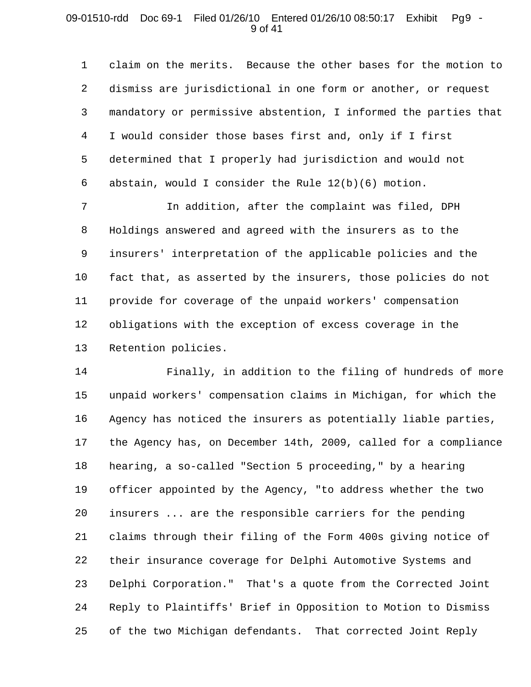## 09-01510-rdd Doc 69-1 Filed 01/26/10 Entered 01/26/10 08:50:17 Exhibit Pg9 -9 of 41

1 2 3 4 5 6 claim on the merits. Because the other bases for the motion to dismiss are jurisdictional in one form or another, or request mandatory or permissive abstention, I informed the parties that I would consider those bases first and, only if I first determined that I properly had jurisdiction and would not abstain, would I consider the Rule 12(b)(6) motion.

7 8 9 10 11 12 13 In addition, after the complaint was filed, DPH Holdings answered and agreed with the insurers as to the insurers' interpretation of the applicable policies and the fact that, as asserted by the insurers, those policies do not provide for coverage of the unpaid workers' compensation obligations with the exception of excess coverage in the Retention policies.

14 15 16 17 18 19 20 21 22 23 24 25 Finally, in addition to the filing of hundreds of more unpaid workers' compensation claims in Michigan, for which the Agency has noticed the insurers as potentially liable parties, the Agency has, on December 14th, 2009, called for a compliance hearing, a so-called "Section 5 proceeding," by a hearing officer appointed by the Agency, "to address whether the two insurers ... are the responsible carriers for the pending claims through their filing of the Form 400s giving notice of their insurance coverage for Delphi Automotive Systems and Delphi Corporation." That's a quote from the Corrected Joint Reply to Plaintiffs' Brief in Opposition to Motion to Dismiss of the two Michigan defendants. That corrected Joint Reply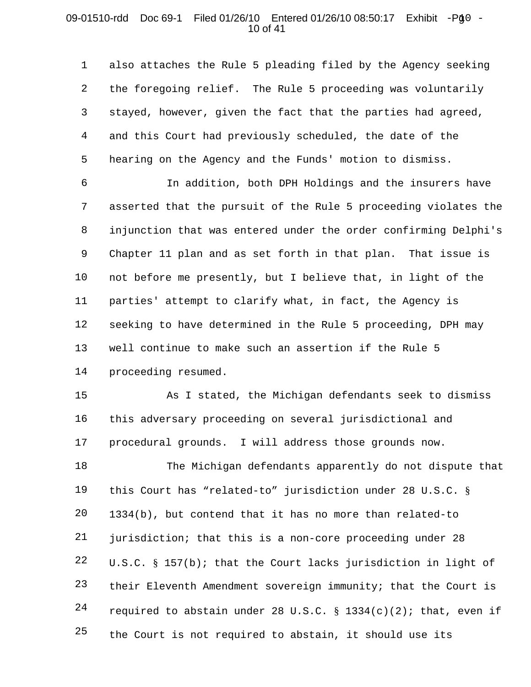## 09-01510-rdd Doc 69-1 Filed 01/26/10 Entered 01/26/10 08:50:17 Exhibit -Pğ0 -10 of 41

1 2 3 4 5 also attaches the Rule 5 pleading filed by the Agency seeking the foregoing relief. The Rule 5 proceeding was voluntarily stayed, however, given the fact that the parties had agreed, and this Court had previously scheduled, the date of the hearing on the Agency and the Funds' motion to dismiss.

6 7 8 9 10 11 12 13 14 In addition, both DPH Holdings and the insurers have asserted that the pursuit of the Rule 5 proceeding violates the injunction that was entered under the order confirming Delphi's Chapter 11 plan and as set forth in that plan. That issue is not before me presently, but I believe that, in light of the parties' attempt to clarify what, in fact, the Agency is seeking to have determined in the Rule 5 proceeding, DPH may well continue to make such an assertion if the Rule 5 proceeding resumed.

15 16 17 As I stated, the Michigan defendants seek to dismiss this adversary proceeding on several jurisdictional and procedural grounds. I will address those grounds now.

18 19 20 21 22 23 24 25 The Michigan defendants apparently do not dispute that this Court has "related-to" jurisdiction under 28 U.S.C. § 1334(b), but contend that it has no more than related-to jurisdiction; that this is a non-core proceeding under 28 U.S.C. § 157(b); that the Court lacks jurisdiction in light of their Eleventh Amendment sovereign immunity; that the Court is required to abstain under 28 U.S.C. § 1334(c)(2); that, even if the Court is not required to abstain, it should use its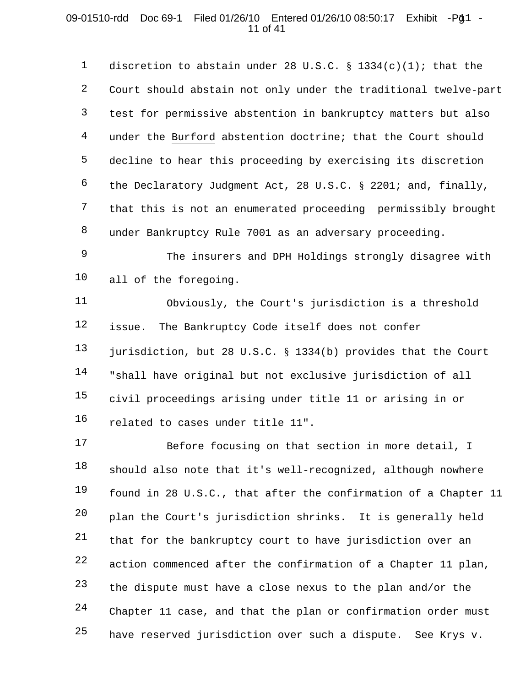## 09-01510-rdd Doc 69-1 Filed 01/26/10 Entered 01/26/10 08:50:17 Exhibit -Pğ1 -11 of 41

1 2 3 4 5 6 7 8 discretion to abstain under 28 U.S.C.  $\S$  1334(c)(1); that the Court should abstain not only under the traditional twelve-part test for permissive abstention in bankruptcy matters but also under the Burford abstention doctrine; that the Court should decline to hear this proceeding by exercising its discretion the Declaratory Judgment Act, 28 U.S.C. § 2201; and, finally, that this is not an enumerated proceeding permissibly brought under Bankruptcy Rule 7001 as an adversary proceeding.

9 10 The insurers and DPH Holdings strongly disagree with all of the foregoing.

11 12 13 14 15 16 Obviously, the Court's jurisdiction is a threshold issue. The Bankruptcy Code itself does not confer jurisdiction, but 28 U.S.C. § 1334(b) provides that the Court "shall have original but not exclusive jurisdiction of all civil proceedings arising under title 11 or arising in or related to cases under title 11".

17 18 19 20 21 22 23 24 25 Before focusing on that section in more detail, I should also note that it's well-recognized, although nowhere found in 28 U.S.C., that after the confirmation of a Chapter 11 plan the Court's jurisdiction shrinks. It is generally held that for the bankruptcy court to have jurisdiction over an action commenced after the confirmation of a Chapter 11 plan, the dispute must have a close nexus to the plan and/or the Chapter 11 case, and that the plan or confirmation order must have reserved jurisdiction over such a dispute. See Krys v.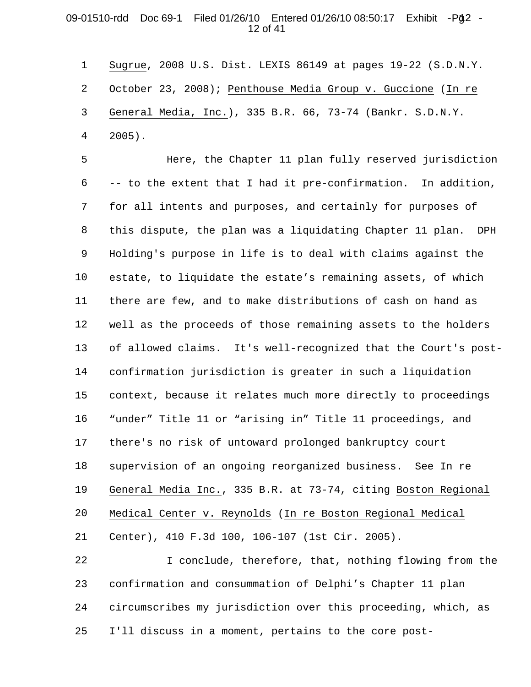## 09-01510-rdd Doc 69-1 Filed 01/26/10 Entered 01/26/10 08:50:17 Exhibit -Pğ2 -12 of 41

1 2 3 4 Sugrue, 2008 U.S. Dist. LEXIS 86149 at pages 19-22 (S.D.N.Y. October 23, 2008); Penthouse Media Group v. Guccione (In re General Media, Inc.), 335 B.R. 66, 73-74 (Bankr. S.D.N.Y. 2005).

5 6 7 8 9 10 11 12 13 14 15 16 17 18 19 20 21 Here, the Chapter 11 plan fully reserved jurisdiction -- to the extent that I had it pre-confirmation. In addition, for all intents and purposes, and certainly for purposes of this dispute, the plan was a liquidating Chapter 11 plan. DPH Holding's purpose in life is to deal with claims against the estate, to liquidate the estate's remaining assets, of which there are few, and to make distributions of cash on hand as well as the proceeds of those remaining assets to the holders of allowed claims. It's well-recognized that the Court's postconfirmation jurisdiction is greater in such a liquidation context, because it relates much more directly to proceedings "under" Title 11 or "arising in" Title 11 proceedings, and there's no risk of untoward prolonged bankruptcy court supervision of an ongoing reorganized business. See In re General Media Inc., 335 B.R. at 73-74, citing Boston Regional Medical Center v. Reynolds (In re Boston Regional Medical Center), 410 F.3d 100, 106-107 (1st Cir. 2005).

22 23 24 25 I conclude, therefore, that, nothing flowing from the confirmation and consummation of Delphi's Chapter 11 plan circumscribes my jurisdiction over this proceeding, which, as I'll discuss in a moment, pertains to the core post-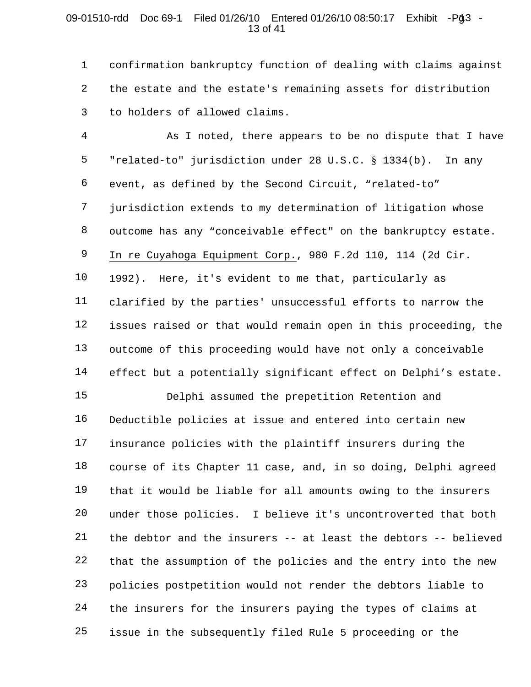### 09-01510-rdd Doc 69-1 Filed 01/26/10 Entered 01/26/10 08:50:17 Exhibit -Pğ3 -13 of 41

1 2 3 confirmation bankruptcy function of dealing with claims against the estate and the estate's remaining assets for distribution to holders of allowed claims.

4 5 6 7 8 9 10 11 12 13 14 As I noted, there appears to be no dispute that I have "related-to" jurisdiction under 28 U.S.C. § 1334(b). In any event, as defined by the Second Circuit, "related-to" jurisdiction extends to my determination of litigation whose outcome has any "conceivable effect" on the bankruptcy estate. In re Cuyahoga Equipment Corp., 980 F.2d 110, 114 (2d Cir. 1992). Here, it's evident to me that, particularly as clarified by the parties' unsuccessful efforts to narrow the issues raised or that would remain open in this proceeding, the outcome of this proceeding would have not only a conceivable effect but a potentially significant effect on Delphi's estate.

15 16 17 18 19 20 21 22 23 24 25 Delphi assumed the prepetition Retention and Deductible policies at issue and entered into certain new insurance policies with the plaintiff insurers during the course of its Chapter 11 case, and, in so doing, Delphi agreed that it would be liable for all amounts owing to the insurers under those policies. I believe it's uncontroverted that both the debtor and the insurers -- at least the debtors -- believed that the assumption of the policies and the entry into the new policies postpetition would not render the debtors liable to the insurers for the insurers paying the types of claims at issue in the subsequently filed Rule 5 proceeding or the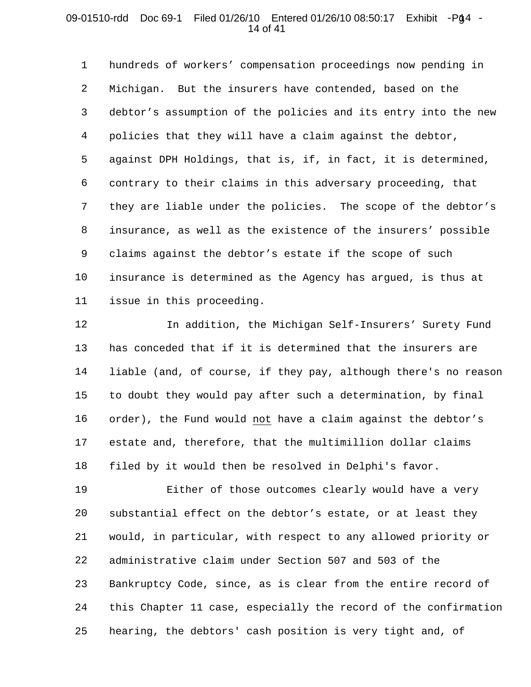#### 09-01510-rdd Doc 69-1 Filed 01/26/10 Entered 01/26/10 08:50:17 Exhibit -Pğ4 -14 of 41

1 2 3 4 5 6 7 8 9 10 11 hundreds of workers' compensation proceedings now pending in Michigan. But the insurers have contended, based on the debtor's assumption of the policies and its entry into the new policies that they will have a claim against the debtor, against DPH Holdings, that is, if, in fact, it is determined, contrary to their claims in this adversary proceeding, that they are liable under the policies. The scope of the debtor's insurance, as well as the existence of the insurers' possible claims against the debtor's estate if the scope of such insurance is determined as the Agency has argued, is thus at issue in this proceeding.

12 13 14 15 16 17 18 In addition, the Michigan Self-Insurers' Surety Fund has conceded that if it is determined that the insurers are liable (and, of course, if they pay, although there's no reason to doubt they would pay after such a determination, by final order), the Fund would not have a claim against the debtor's estate and, therefore, that the multimillion dollar claims filed by it would then be resolved in Delphi's favor.

19 20 21 22 23 24 25 Either of those outcomes clearly would have a very substantial effect on the debtor's estate, or at least they would, in particular, with respect to any allowed priority or administrative claim under Section 507 and 503 of the Bankruptcy Code, since, as is clear from the entire record of this Chapter 11 case, especially the record of the confirmation hearing, the debtors' cash position is very tight and, of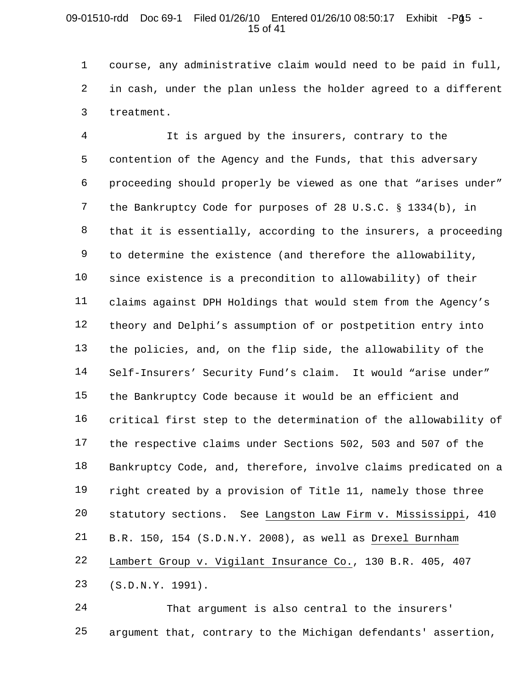#### 09-01510-rdd Doc 69-1 Filed 01/26/10 Entered 01/26/10 08:50:17 Exhibit -Pğ5 -15 of 41

1 2 3 course, any administrative claim would need to be paid in full, in cash, under the plan unless the holder agreed to a different treatment.

4 5 6 7 8 9 10 11 12 13 14 15 16 17 18 19 20 21 22 23 It is argued by the insurers, contrary to the contention of the Agency and the Funds, that this adversary proceeding should properly be viewed as one that "arises under" the Bankruptcy Code for purposes of 28 U.S.C. § 1334(b), in that it is essentially, according to the insurers, a proceeding to determine the existence (and therefore the allowability, since existence is a precondition to allowability) of their claims against DPH Holdings that would stem from the Agency's theory and Delphi's assumption of or postpetition entry into the policies, and, on the flip side, the allowability of the Self-Insurers' Security Fund's claim. It would "arise under" the Bankruptcy Code because it would be an efficient and critical first step to the determination of the allowability of the respective claims under Sections 502, 503 and 507 of the Bankruptcy Code, and, therefore, involve claims predicated on a right created by a provision of Title 11, namely those three statutory sections. See Langston Law Firm v. Mississippi, 410 B.R. 150, 154 (S.D.N.Y. 2008), as well as Drexel Burnham Lambert Group v. Vigilant Insurance Co., 130 B.R. 405, 407 (S.D.N.Y. 1991).

24 25 That argument is also central to the insurers' argument that, contrary to the Michigan defendants' assertion,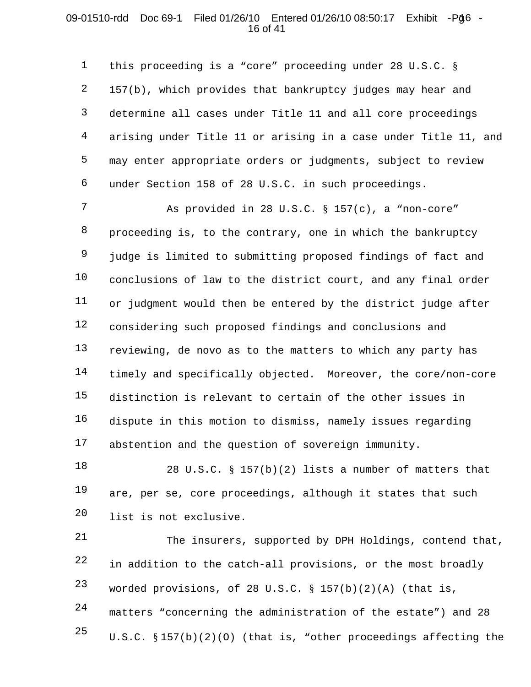## 09-01510-rdd Doc 69-1 Filed 01/26/10 Entered 01/26/10 08:50:17 Exhibit -Pğ6 -16 of 41

1 2 3 4 5 6 this proceeding is a "core" proceeding under 28 U.S.C. § 157(b), which provides that bankruptcy judges may hear and determine all cases under Title 11 and all core proceedings arising under Title 11 or arising in a case under Title 11, and may enter appropriate orders or judgments, subject to review under Section 158 of 28 U.S.C. in such proceedings.

7 8 9 10 11 12 13 14 15 16 17 As provided in 28 U.S.C.  $\S 157(c)$ , a "non-core" proceeding is, to the contrary, one in which the bankruptcy judge is limited to submitting proposed findings of fact and conclusions of law to the district court, and any final order or judgment would then be entered by the district judge after considering such proposed findings and conclusions and reviewing, de novo as to the matters to which any party has timely and specifically objected. Moreover, the core/non-core distinction is relevant to certain of the other issues in dispute in this motion to dismiss, namely issues regarding abstention and the question of sovereign immunity.

18 19 20 28 U.S.C. § 157(b)(2) lists a number of matters that are, per se, core proceedings, although it states that such list is not exclusive.

21 22 23 24 25 The insurers, supported by DPH Holdings, contend that, in addition to the catch-all provisions, or the most broadly worded provisions, of 28 U.S.C.  $\S$  157(b)(2)(A) (that is, matters "concerning the administration of the estate") and 28 U.S.C. § 157(b)(2)(O) (that is, "other proceedings affecting the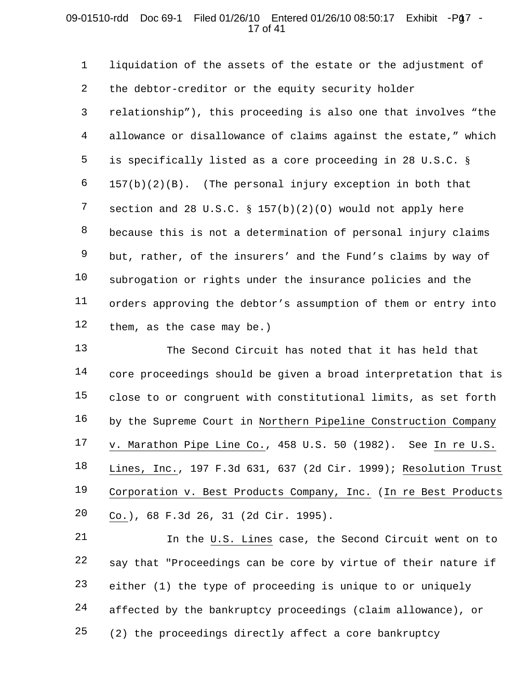## 09-01510-rdd Doc 69-1 Filed 01/26/10 Entered 01/26/10 08:50:17 Exhibit -Pğ 7 -17 of 41

1 2 3 4 5 6 7 8 9 10 11 12 liquidation of the assets of the estate or the adjustment of the debtor-creditor or the equity security holder relationship"), this proceeding is also one that involves "the allowance or disallowance of claims against the estate," which is specifically listed as a core proceeding in 28 U.S.C. § 157(b)(2)(B). (The personal injury exception in both that section and 28 U.S.C.  $\S$  157(b)(2)(0) would not apply here because this is not a determination of personal injury claims but, rather, of the insurers' and the Fund's claims by way of subrogation or rights under the insurance policies and the orders approving the debtor's assumption of them or entry into them, as the case may be.)

13 14 15 16 17 18 19 20 The Second Circuit has noted that it has held that core proceedings should be given a broad interpretation that is close to or congruent with constitutional limits, as set forth by the Supreme Court in Northern Pipeline Construction Company v. Marathon Pipe Line Co., 458 U.S. 50 (1982). See In re U.S. Lines, Inc., 197 F.3d 631, 637 (2d Cir. 1999); Resolution Trust Corporation v. Best Products Company, Inc. (In re Best Products Co.), 68 F.3d 26, 31 (2d Cir. 1995).

21 22 23 24 25 In the U.S. Lines case, the Second Circuit went on to say that "Proceedings can be core by virtue of their nature if either (1) the type of proceeding is unique to or uniquely affected by the bankruptcy proceedings (claim allowance), or (2) the proceedings directly affect a core bankruptcy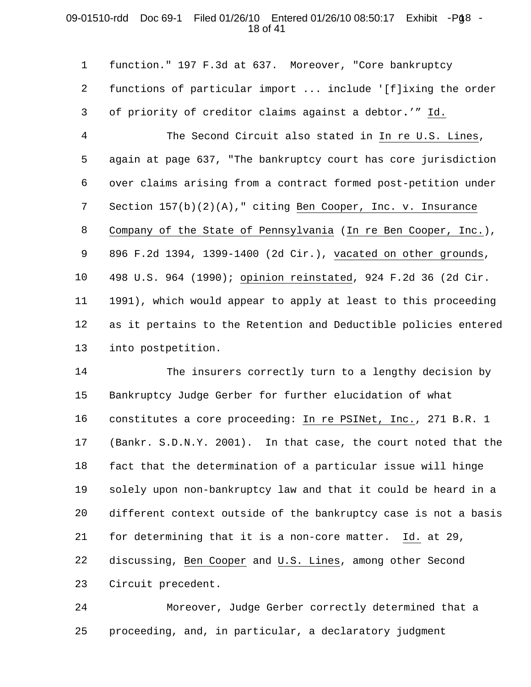## 09-01510-rdd Doc 69-1 Filed 01/26/10 Entered 01/26/10 08:50:17 Exhibit -Pğ8 -18 of 41

1 2 3 4 5 6 7 8 9 10 11 12 13 function." 197 F.3d at 637. Moreover, "Core bankruptcy functions of particular import ... include '[f]ixing the order of priority of creditor claims against a debtor**.**'" Id. The Second Circuit also stated in In re U.S. Lines, again at page 637, "The bankruptcy court has core jurisdiction over claims arising from a contract formed post-petition under Section 157(b)(2)(A)," citing Ben Cooper, Inc. v. Insurance Company of the State of Pennsylvania (In re Ben Cooper, Inc.), 896 F.2d 1394, 1399-1400 (2d Cir.), vacated on other grounds, 498 U.S. 964 (1990); opinion reinstated, 924 F.2d 36 (2d Cir. 1991), which would appear to apply at least to this proceeding as it pertains to the Retention and Deductible policies entered into postpetition.

14 15 16 17 18 19 20 21 22 23 The insurers correctly turn to a lengthy decision by Bankruptcy Judge Gerber for further elucidation of what constitutes a core proceeding: In re PSINet, Inc., 271 B.R. 1 (Bankr. S.D.N.Y. 2001). In that case, the court noted that the fact that the determination of a particular issue will hinge solely upon non-bankruptcy law and that it could be heard in a different context outside of the bankruptcy case is not a basis for determining that it is a non-core matter. Id. at 29, discussing, Ben Cooper and U.S. Lines, among other Second Circuit precedent.

24 25 Moreover, Judge Gerber correctly determined that a proceeding, and, in particular, a declaratory judgment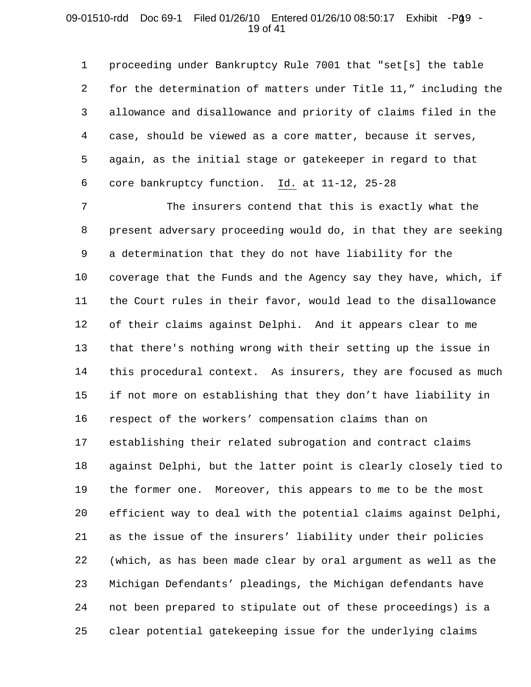#### 09-01510-rdd Doc 69-1 Filed 01/26/10 Entered 01/26/10 08:50:17 Exhibit -Pğ9 -19 of 41

1 2 3 4 5 6 proceeding under Bankruptcy Rule 7001 that "set[s] the table for the determination of matters under Title 11," including the allowance and disallowance and priority of claims filed in the case, should be viewed as a core matter, because it serves, again, as the initial stage or gatekeeper in regard to that core bankruptcy function. Id. at 11-12, 25-28

7 8 9 10 11 12 13 14 15 16 17 18 19 20 21 22 23 24 25 The insurers contend that this is exactly what the present adversary proceeding would do, in that they are seeking a determination that they do not have liability for the coverage that the Funds and the Agency say they have, which, if the Court rules in their favor, would lead to the disallowance of their claims against Delphi. And it appears clear to me that there's nothing wrong with their setting up the issue in this procedural context. As insurers, they are focused as much if not more on establishing that they don't have liability in respect of the workers' compensation claims than on establishing their related subrogation and contract claims against Delphi, but the latter point is clearly closely tied to the former one. Moreover, this appears to me to be the most efficient way to deal with the potential claims against Delphi, as the issue of the insurers' liability under their policies (which, as has been made clear by oral argument as well as the Michigan Defendants' pleadings, the Michigan defendants have not been prepared to stipulate out of these proceedings) is a clear potential gatekeeping issue for the underlying claims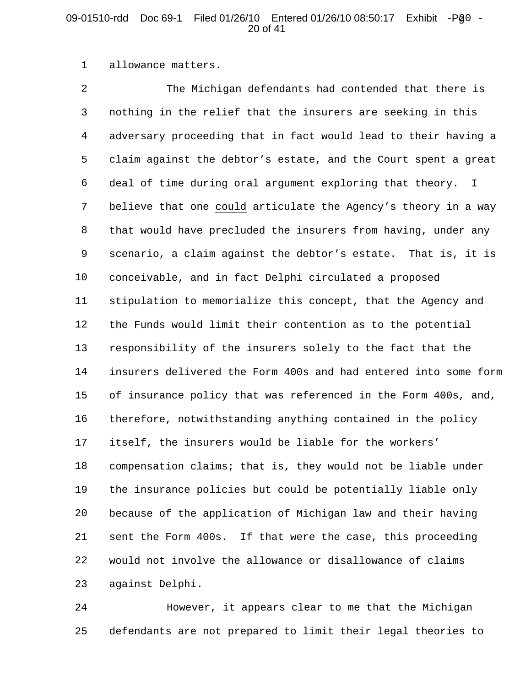## 09-01510-rdd Doc 69-1 Filed 01/26/10 Entered 01/26/10 08:50:17 Exhibit -Pg0 -20 of 41

1 allowance matters.

2 3 4 5 6 7 8 9 10 11 12 13 14 15 16 17 18 19 20 21 22 23 The Michigan defendants had contended that there is nothing in the relief that the insurers are seeking in this adversary proceeding that in fact would lead to their having a claim against the debtor's estate, and the Court spent a great deal of time during oral argument exploring that theory. I believe that one could articulate the Agency's theory in a way that would have precluded the insurers from having, under any scenario, a claim against the debtor's estate. That is, it is conceivable, and in fact Delphi circulated a proposed stipulation to memorialize this concept, that the Agency and the Funds would limit their contention as to the potential responsibility of the insurers solely to the fact that the insurers delivered the Form 400s and had entered into some form of insurance policy that was referenced in the Form 400s, and, therefore, notwithstanding anything contained in the policy itself, the insurers would be liable for the workers' compensation claims; that is, they would not be liable under the insurance policies but could be potentially liable only because of the application of Michigan law and their having sent the Form 400s. If that were the case, this proceeding would not involve the allowance or disallowance of claims against Delphi.

24 25 However, it appears clear to me that the Michigan defendants are not prepared to limit their legal theories to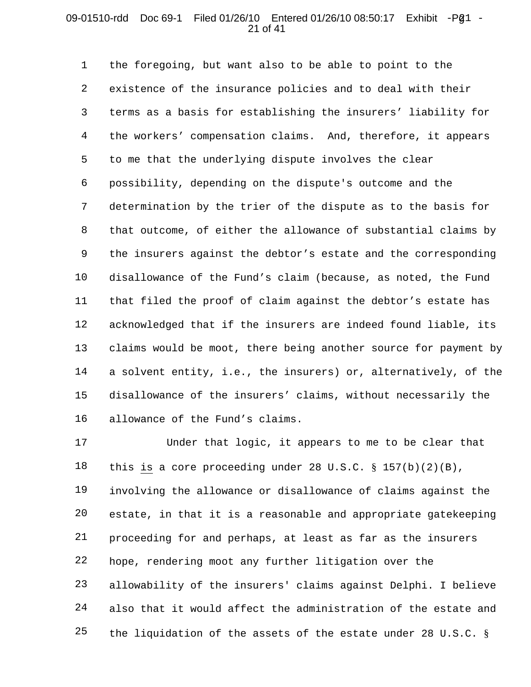## 09-01510-rdd Doc 69-1 Filed 01/26/10 Entered 01/26/10 08:50:17 Exhibit -Pg1 -21 of 41

1 2 3 4 5 6 7 8 9 10 11 12 13 14 15 16 the foregoing, but want also to be able to point to the existence of the insurance policies and to deal with their terms as a basis for establishing the insurers' liability for the workers' compensation claims. And, therefore, it appears to me that the underlying dispute involves the clear possibility, depending on the dispute's outcome and the determination by the trier of the dispute as to the basis for that outcome, of either the allowance of substantial claims by the insurers against the debtor's estate and the corresponding disallowance of the Fund's claim (because, as noted, the Fund that filed the proof of claim against the debtor's estate has acknowledged that if the insurers are indeed found liable, its claims would be moot, there being another source for payment by a solvent entity, i.e., the insurers) or, alternatively, of the disallowance of the insurers' claims, without necessarily the allowance of the Fund's claims.

17 18 19 20 21 22 23 24 25 Under that logic, it appears to me to be clear that this is a core proceeding under 28 U.S.C.  $\S$  157(b)(2)(B), involving the allowance or disallowance of claims against the estate, in that it is a reasonable and appropriate gatekeeping proceeding for and perhaps, at least as far as the insurers hope, rendering moot any further litigation over the allowability of the insurers' claims against Delphi. I believe also that it would affect the administration of the estate and the liquidation of the assets of the estate under 28 U.S.C. §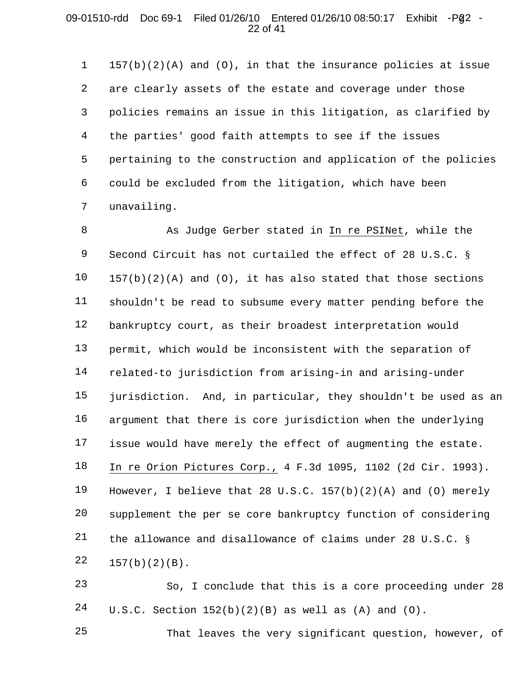## 09-01510-rdd Doc 69-1 Filed 01/26/10 Entered 01/26/10 08:50:17 Exhibit -Pg2 -22 of 41

1 2 3 4 5 6 7  $157(b)(2)(A)$  and  $(0)$ , in that the insurance policies at issue are clearly assets of the estate and coverage under those policies remains an issue in this litigation, as clarified by the parties' good faith attempts to see if the issues pertaining to the construction and application of the policies could be excluded from the litigation, which have been unavailing.

8 9 10 11 12 13 14 15 16 17 18 19 20 21 22 As Judge Gerber stated in In re PSINet, while the Second Circuit has not curtailed the effect of 28 U.S.C. §  $157(b)(2)(A)$  and  $(0)$ , it has also stated that those sections shouldn't be read to subsume every matter pending before the bankruptcy court, as their broadest interpretation would permit, which would be inconsistent with the separation of related-to jurisdiction from arising-in and arising-under jurisdiction. And, in particular, they shouldn't be used as an argument that there is core jurisdiction when the underlying issue would have merely the effect of augmenting the estate. In re Orion Pictures Corp., 4 F.3d 1095, 1102 (2d Cir. 1993). However, I believe that 28 U.S.C. 157(b)(2)(A) and (O) merely supplement the per se core bankruptcy function of considering the allowance and disallowance of claims under 28 U.S.C. §  $157(b)(2)(B)$ .

23 24 So, I conclude that this is a core proceeding under 28 U.S.C. Section  $152(b)(2)(B)$  as well as  $(A)$  and  $(0)$ .

25 That leaves the very significant question, however, of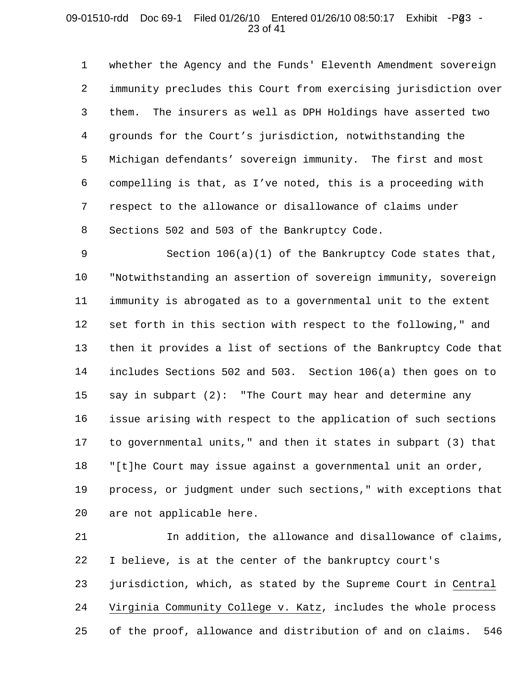#### 09-01510-rdd Doc 69-1 Filed 01/26/10 Entered 01/26/10 08:50:17 Exhibit -Pg3 -23 of 41

1 2 3 4 5 6 7 8 whether the Agency and the Funds' Eleventh Amendment sovereign immunity precludes this Court from exercising jurisdiction over them. The insurers as well as DPH Holdings have asserted two grounds for the Court's jurisdiction, notwithstanding the Michigan defendants' sovereign immunity. The first and most compelling is that, as I've noted, this is a proceeding with respect to the allowance or disallowance of claims under Sections 502 and 503 of the Bankruptcy Code.

9 10 11 12 13 14 15 16 17 18 19 20 Section  $106(a)(1)$  of the Bankruptcy Code states that, "Notwithstanding an assertion of sovereign immunity, sovereign immunity is abrogated as to a governmental unit to the extent set forth in this section with respect to the following," and then it provides a list of sections of the Bankruptcy Code that includes Sections 502 and 503. Section 106(a) then goes on to say in subpart (2): "The Court may hear and determine any issue arising with respect to the application of such sections to governmental units," and then it states in subpart (3) that "[t]he Court may issue against a governmental unit an order, process, or judgment under such sections," with exceptions that are not applicable here.

21 22 23 24 25 In addition, the allowance and disallowance of claims, I believe, is at the center of the bankruptcy court's jurisdiction, which, as stated by the Supreme Court in Central Virginia Community College v. Katz, includes the whole process of the proof, allowance and distribution of and on claims. 546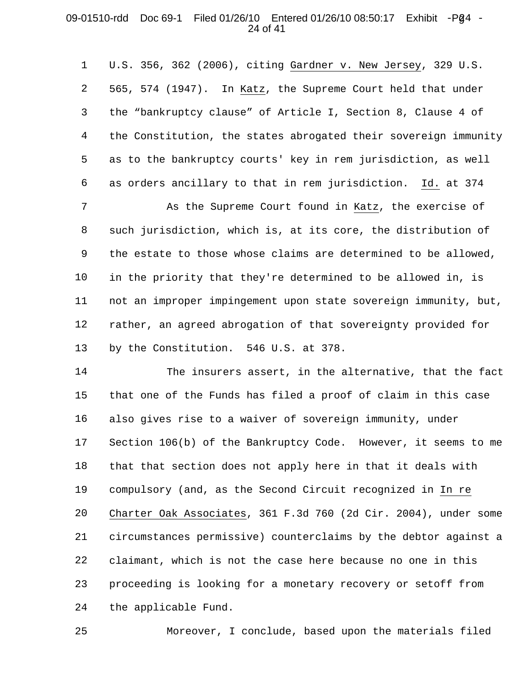## 09-01510-rdd Doc 69-1 Filed 01/26/10 Entered 01/26/10 08:50:17 Exhibit -Pg4 -24 of 41

1 2 3 4 5 6 U.S. 356, 362 (2006), citing Gardner v. New Jersey, 329 U.S. 565, 574 (1947). In Katz, the Supreme Court held that under the "bankruptcy clause" of Article I, Section 8, Clause 4 of the Constitution, the states abrogated their sovereign immunity as to the bankruptcy courts' key in rem jurisdiction, as well as orders ancillary to that in rem jurisdiction. Id. at 374

7 8 9 10 11 12 13 As the Supreme Court found in Katz, the exercise of such jurisdiction, which is, at its core, the distribution of the estate to those whose claims are determined to be allowed, in the priority that they're determined to be allowed in, is not an improper impingement upon state sovereign immunity, but, rather, an agreed abrogation of that sovereignty provided for by the Constitution. 546 U.S. at 378.

14 15 16 17 18 19 20 21 22 23 24 The insurers assert, in the alternative, that the fact that one of the Funds has filed a proof of claim in this case also gives rise to a waiver of sovereign immunity, under Section 106(b) of the Bankruptcy Code. However, it seems to me that that section does not apply here in that it deals with compulsory (and, as the Second Circuit recognized in In re Charter Oak Associates, 361 F.3d 760 (2d Cir. 2004), under some circumstances permissive) counterclaims by the debtor against a claimant, which is not the case here because no one in this proceeding is looking for a monetary recovery or setoff from the applicable Fund.

25 Moreover, I conclude, based upon the materials filed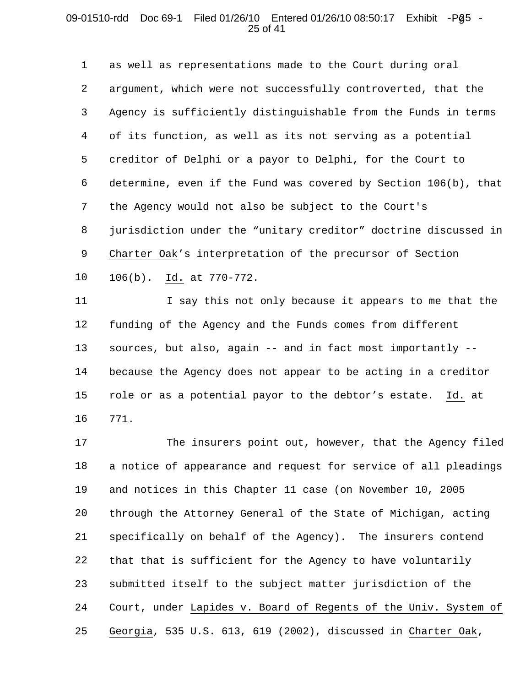#### 09-01510-rdd Doc 69-1 Filed 01/26/10 Entered 01/26/10 08:50:17 Exhibit -Pg5 -25 of 41

1 2 3 4 5 6 7 8 9 10 as well as representations made to the Court during oral argument, which were not successfully controverted, that the Agency is sufficiently distinguishable from the Funds in terms of its function, as well as its not serving as a potential creditor of Delphi or a payor to Delphi, for the Court to determine, even if the Fund was covered by Section 106(b), that the Agency would not also be subject to the Court's jurisdiction under the "unitary creditor" doctrine discussed in Charter Oak's interpretation of the precursor of Section 106(b). Id. at 770-772.

11 12 13 14 15 16 I say this not only because it appears to me that the funding of the Agency and the Funds comes from different sources, but also, again -- and in fact most importantly - because the Agency does not appear to be acting in a creditor role or as a potential payor to the debtor's estate. Id. at 771.

17 18 19 20 21 22 23 24 25 The insurers point out, however, that the Agency filed a notice of appearance and request for service of all pleadings and notices in this Chapter 11 case (on November 10, 2005 through the Attorney General of the State of Michigan, acting specifically on behalf of the Agency). The insurers contend that that is sufficient for the Agency to have voluntarily submitted itself to the subject matter jurisdiction of the Court, under Lapides v. Board of Regents of the Univ. System of Georgia, 535 U.S. 613, 619 (2002), discussed in Charter Oak,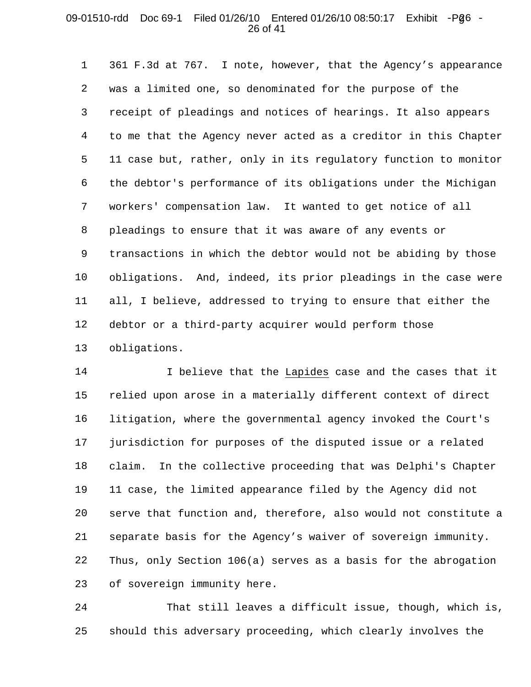#### 09-01510-rdd Doc 69-1 Filed 01/26/10 Entered 01/26/10 08:50:17 Exhibit -Pg6 -26 of 41

1 2 3 4 5 6 7 8 9 10 11 12 13 361 F.3d at 767. I note, however, that the Agency's appearance was a limited one, so denominated for the purpose of the receipt of pleadings and notices of hearings. It also appears to me that the Agency never acted as a creditor in this Chapter 11 case but, rather, only in its regulatory function to monitor the debtor's performance of its obligations under the Michigan workers' compensation law. It wanted to get notice of all pleadings to ensure that it was aware of any events or transactions in which the debtor would not be abiding by those obligations. And, indeed, its prior pleadings in the case were all, I believe, addressed to trying to ensure that either the debtor or a third-party acquirer would perform those obligations.

14 15 16 17 18 19 20 21 22 23 I believe that the Lapides case and the cases that it relied upon arose in a materially different context of direct litigation, where the governmental agency invoked the Court's jurisdiction for purposes of the disputed issue or a related claim. In the collective proceeding that was Delphi's Chapter 11 case, the limited appearance filed by the Agency did not serve that function and, therefore, also would not constitute a separate basis for the Agency's waiver of sovereign immunity. Thus, only Section 106(a) serves as a basis for the abrogation of sovereign immunity here.

24 25 That still leaves a difficult issue, though, which is, should this adversary proceeding, which clearly involves the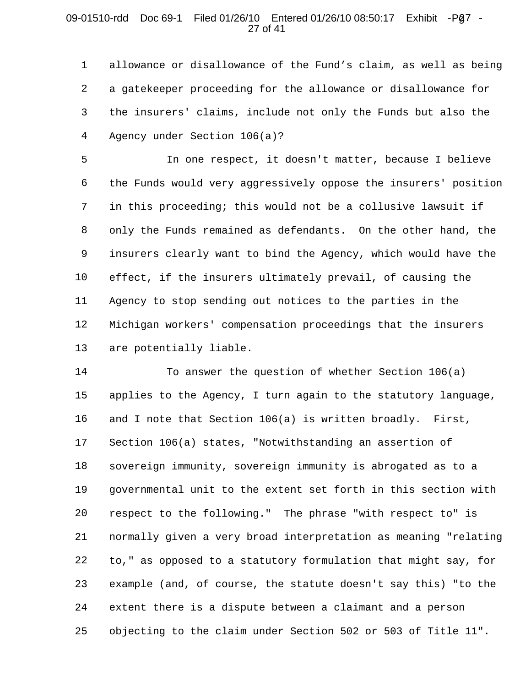## 09-01510-rdd Doc 69-1 Filed 01/26/10 Entered 01/26/10 08:50:17 Exhibit -Pg7 -27 of 41

1 2 3 4 allowance or disallowance of the Fund's claim, as well as being a gatekeeper proceeding for the allowance or disallowance for the insurers' claims, include not only the Funds but also the Agency under Section 106(a)?

5 6 7 8 9 10 11 12 13 In one respect, it doesn't matter, because I believe the Funds would very aggressively oppose the insurers' position in this proceeding; this would not be a collusive lawsuit if only the Funds remained as defendants. On the other hand, the insurers clearly want to bind the Agency, which would have the effect, if the insurers ultimately prevail, of causing the Agency to stop sending out notices to the parties in the Michigan workers' compensation proceedings that the insurers are potentially liable.

14 15 16 17 18 19 20 21 22 23 24 25 To answer the question of whether Section 106(a) applies to the Agency, I turn again to the statutory language, and I note that Section 106(a) is written broadly. First, Section 106(a) states, "Notwithstanding an assertion of sovereign immunity, sovereign immunity is abrogated as to a governmental unit to the extent set forth in this section with respect to the following." The phrase "with respect to" is normally given a very broad interpretation as meaning "relating to," as opposed to a statutory formulation that might say, for example (and, of course, the statute doesn't say this) "to the extent there is a dispute between a claimant and a person objecting to the claim under Section 502 or 503 of Title 11".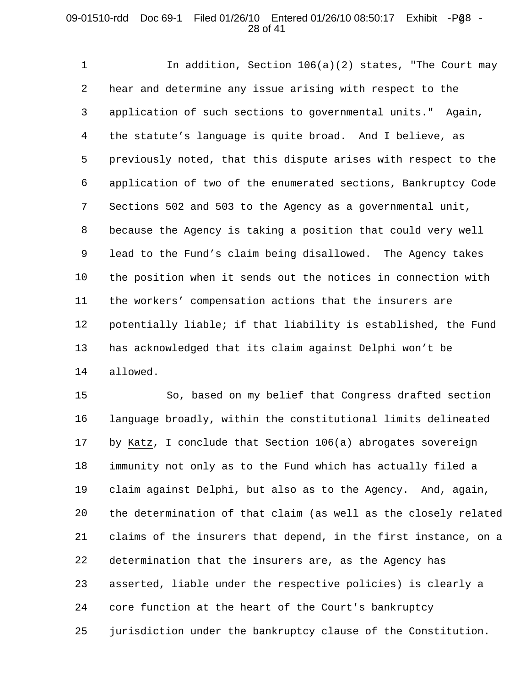#### 09-01510-rdd Doc 69-1 Filed 01/26/10 Entered 01/26/10 08:50:17 Exhibit -Pg8 -28 of 41

1 2 3 4 5 6 7 8 9 10 11 12 13 14 In addition, Section 106(a)(2) states, "The Court may hear and determine any issue arising with respect to the application of such sections to governmental units." Again, the statute's language is quite broad. And I believe, as previously noted, that this dispute arises with respect to the application of two of the enumerated sections, Bankruptcy Code Sections 502 and 503 to the Agency as a governmental unit, because the Agency is taking a position that could very well lead to the Fund's claim being disallowed. The Agency takes the position when it sends out the notices in connection with the workers' compensation actions that the insurers are potentially liable; if that liability is established, the Fund has acknowledged that its claim against Delphi won't be allowed.

15 16 17 18 19 20 21 22 23 24 25 So, based on my belief that Congress drafted section language broadly, within the constitutional limits delineated by Katz, I conclude that Section 106(a) abrogates sovereign immunity not only as to the Fund which has actually filed a claim against Delphi, but also as to the Agency. And, again, the determination of that claim (as well as the closely related claims of the insurers that depend, in the first instance, on a determination that the insurers are, as the Agency has asserted, liable under the respective policies) is clearly a core function at the heart of the Court's bankruptcy jurisdiction under the bankruptcy clause of the Constitution.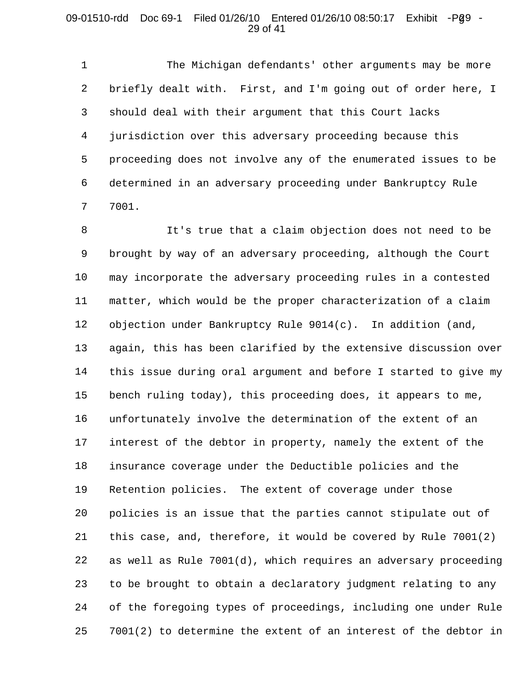#### 09-01510-rdd Doc 69-1 Filed 01/26/10 Entered 01/26/10 08:50:17 Exhibit -Pg9 -29 of 41

1 2 3 4 5 6 7 The Michigan defendants' other arguments may be more briefly dealt with. First, and I'm going out of order here, I should deal with their argument that this Court lacks jurisdiction over this adversary proceeding because this proceeding does not involve any of the enumerated issues to be determined in an adversary proceeding under Bankruptcy Rule 7001.

8 9 10 11 12 13 14 15 16 17 18 19 20 21 22 23 24 25 It's true that a claim objection does not need to be brought by way of an adversary proceeding, although the Court may incorporate the adversary proceeding rules in a contested matter, which would be the proper characterization of a claim objection under Bankruptcy Rule 9014(c). In addition (and, again, this has been clarified by the extensive discussion over this issue during oral argument and before I started to give my bench ruling today), this proceeding does, it appears to me, unfortunately involve the determination of the extent of an interest of the debtor in property, namely the extent of the insurance coverage under the Deductible policies and the Retention policies. The extent of coverage under those policies is an issue that the parties cannot stipulate out of this case, and, therefore, it would be covered by Rule 7001(2) as well as Rule 7001(d), which requires an adversary proceeding to be brought to obtain a declaratory judgment relating to any of the foregoing types of proceedings, including one under Rule 7001(2) to determine the extent of an interest of the debtor in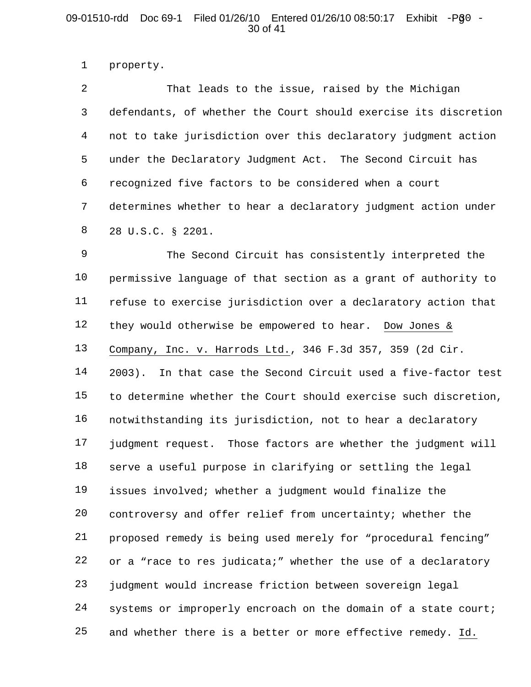## 09-01510-rdd Doc 69-1 Filed 01/26/10 Entered 01/26/10 08:50:17 Exhibit -P§0 -30 of 41

1 property.

2 3 4 5 6 7 8 That leads to the issue, raised by the Michigan defendants, of whether the Court should exercise its discretion not to take jurisdiction over this declaratory judgment action under the Declaratory Judgment Act. The Second Circuit has recognized five factors to be considered when a court determines whether to hear a declaratory judgment action under 28 U.S.C. § 2201.

9 10 11 12 13 14 15 16 17 18 19 20 21 22 23 24 25 The Second Circuit has consistently interpreted the permissive language of that section as a grant of authority to refuse to exercise jurisdiction over a declaratory action that they would otherwise be empowered to hear. Dow Jones & Company, Inc. v. Harrods Ltd., 346 F.3d 357, 359 (2d Cir. 2003). In that case the Second Circuit used a five-factor test to determine whether the Court should exercise such discretion, notwithstanding its jurisdiction, not to hear a declaratory judgment request. Those factors are whether the judgment will serve a useful purpose in clarifying or settling the legal issues involved; whether a judgment would finalize the controversy and offer relief from uncertainty; whether the proposed remedy is being used merely for "procedural fencing" or a "race to res judicata;" whether the use of a declaratory judgment would increase friction between sovereign legal systems or improperly encroach on the domain of a state court; and whether there is a better or more effective remedy. Id.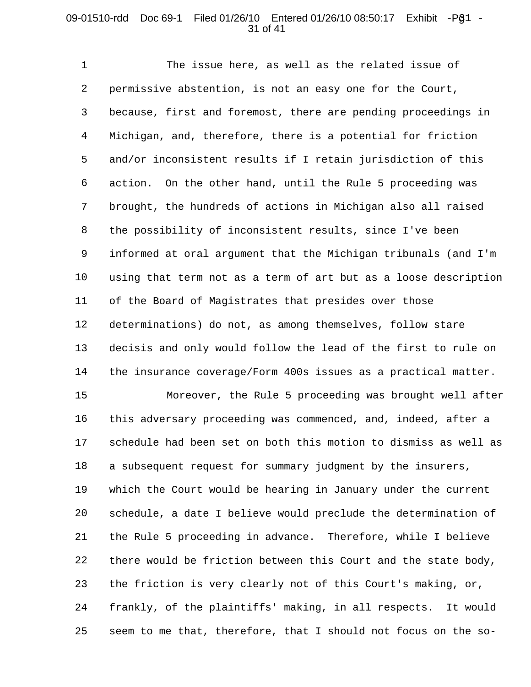## 09-01510-rdd Doc 69-1 Filed 01/26/10 Entered 01/26/10 08:50:17 Exhibit -Pg1 -31 of 41

1 2 3 4 5 6 7 8 9 10 11 12 13 14 15 The issue here, as well as the related issue of permissive abstention, is not an easy one for the Court, because, first and foremost, there are pending proceedings in Michigan, and, therefore, there is a potential for friction and/or inconsistent results if I retain jurisdiction of this action. On the other hand, until the Rule 5 proceeding was brought, the hundreds of actions in Michigan also all raised the possibility of inconsistent results, since I've been informed at oral argument that the Michigan tribunals (and I'm using that term not as a term of art but as a loose description of the Board of Magistrates that presides over those determinations) do not, as among themselves, follow stare decisis and only would follow the lead of the first to rule on the insurance coverage/Form 400s issues as a practical matter. Moreover, the Rule 5 proceeding was brought well after

16 17 18 19 20 21 22 23 24 25 this adversary proceeding was commenced, and, indeed, after a schedule had been set on both this motion to dismiss as well as a subsequent request for summary judgment by the insurers, which the Court would be hearing in January under the current schedule, a date I believe would preclude the determination of the Rule 5 proceeding in advance. Therefore, while I believe there would be friction between this Court and the state body, the friction is very clearly not of this Court's making, or, frankly, of the plaintiffs' making, in all respects. It would seem to me that, therefore, that I should not focus on the so-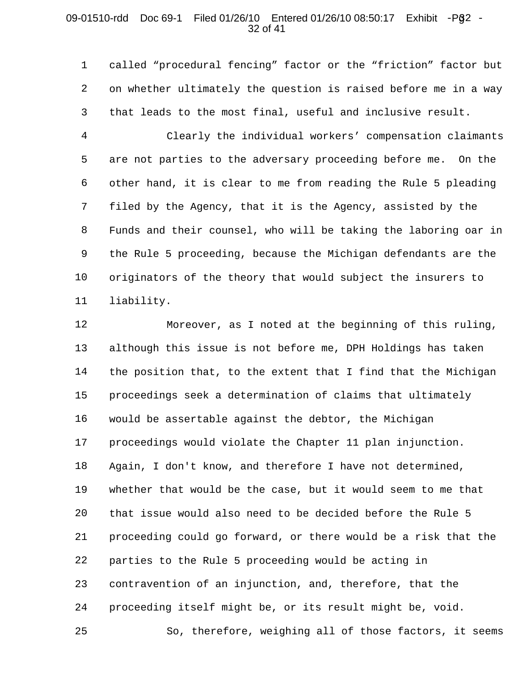#### 09-01510-rdd Doc 69-1 Filed 01/26/10 Entered 01/26/10 08:50:17 Exhibit -Pg2 -32 of 41

1 2 3 called "procedural fencing" factor or the "friction" factor but on whether ultimately the question is raised before me in a way that leads to the most final, useful and inclusive result.

4 5 6 7 8 9 10 11 Clearly the individual workers' compensation claimants are not parties to the adversary proceeding before me. On the other hand, it is clear to me from reading the Rule 5 pleading filed by the Agency, that it is the Agency, assisted by the Funds and their counsel, who will be taking the laboring oar in the Rule 5 proceeding, because the Michigan defendants are the originators of the theory that would subject the insurers to liability.

12 13 14 15 16 17 18 19 20 21 22 23 24 25 Moreover, as I noted at the beginning of this ruling, although this issue is not before me, DPH Holdings has taken the position that, to the extent that I find that the Michigan proceedings seek a determination of claims that ultimately would be assertable against the debtor, the Michigan proceedings would violate the Chapter 11 plan injunction. Again, I don't know, and therefore I have not determined, whether that would be the case, but it would seem to me that that issue would also need to be decided before the Rule 5 proceeding could go forward, or there would be a risk that the parties to the Rule 5 proceeding would be acting in contravention of an injunction, and, therefore, that the proceeding itself might be, or its result might be, void. So, therefore, weighing all of those factors, it seems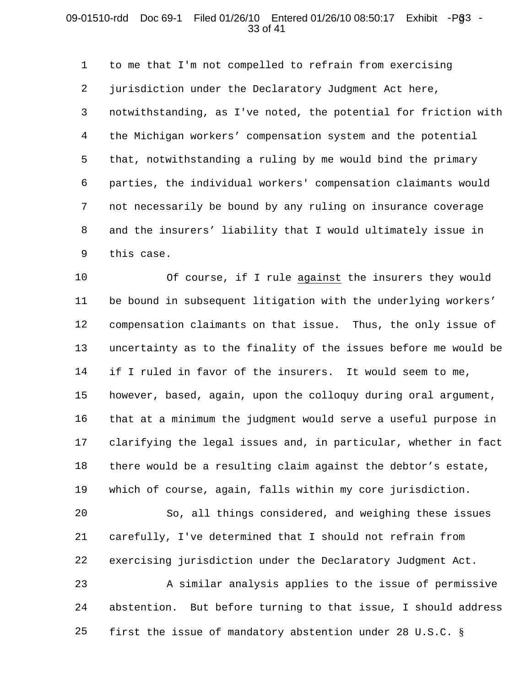#### 09-01510-rdd Doc 69-1 Filed 01/26/10 Entered 01/26/10 08:50:17 Exhibit -P§3 -33 of 41

1 2 3 4 5 6 7 8 9 to me that I'm not compelled to refrain from exercising jurisdiction under the Declaratory Judgment Act here, notwithstanding, as I've noted, the potential for friction with the Michigan workers' compensation system and the potential that, notwithstanding a ruling by me would bind the primary parties, the individual workers' compensation claimants would not necessarily be bound by any ruling on insurance coverage and the insurers' liability that I would ultimately issue in this case.

10 11 12 13 14 15 16 17 18 19 Of course, if I rule against the insurers they would be bound in subsequent litigation with the underlying workers' compensation claimants on that issue. Thus, the only issue of uncertainty as to the finality of the issues before me would be if I ruled in favor of the insurers. It would seem to me, however, based, again, upon the colloquy during oral argument, that at a minimum the judgment would serve a useful purpose in clarifying the legal issues and, in particular, whether in fact there would be a resulting claim against the debtor's estate, which of course, again, falls within my core jurisdiction.

20 21 22 So, all things considered, and weighing these issues carefully, I've determined that I should not refrain from exercising jurisdiction under the Declaratory Judgment Act.

23 24 25 A similar analysis applies to the issue of permissive abstention. But before turning to that issue, I should address first the issue of mandatory abstention under 28 U.S.C. §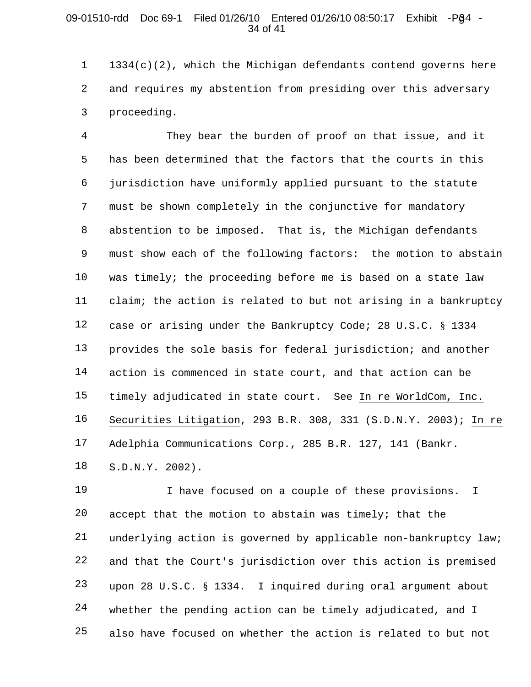#### 09-01510-rdd Doc 69-1 Filed 01/26/10 Entered 01/26/10 08:50:17 Exhibit -P§4 -34 of 41

1 2 3  $1334(c)(2)$ , which the Michigan defendants contend governs here and requires my abstention from presiding over this adversary proceeding.

4 5 6 7 8 9 10 11 12 13 14 15 16 17 They bear the burden of proof on that issue, and it has been determined that the factors that the courts in this jurisdiction have uniformly applied pursuant to the statute must be shown completely in the conjunctive for mandatory abstention to be imposed. That is, the Michigan defendants must show each of the following factors: the motion to abstain was timely; the proceeding before me is based on a state law claim; the action is related to but not arising in a bankruptcy case or arising under the Bankruptcy Code; 28 U.S.C. § 1334 provides the sole basis for federal jurisdiction; and another action is commenced in state court, and that action can be timely adjudicated in state court. See In re WorldCom, Inc. Securities Litigation, 293 B.R. 308, 331 (S.D.N.Y. 2003); In re Adelphia Communications Corp., 285 B.R. 127, 141 (Bankr.

18 S.D.N.Y. 2002).

19 20 21 22 23 24 25 I have focused on a couple of these provisions. I accept that the motion to abstain was timely; that the underlying action is governed by applicable non-bankruptcy law; and that the Court's jurisdiction over this action is premised upon 28 U.S.C. § 1334. I inquired during oral argument about whether the pending action can be timely adjudicated, and I also have focused on whether the action is related to but not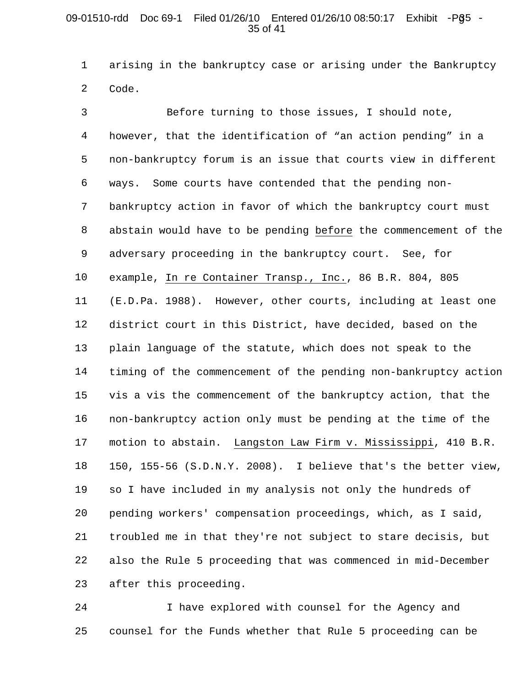#### 09-01510-rdd Doc 69-1 Filed 01/26/10 Entered 01/26/10 08:50:17 Exhibit -P§5 -35 of 41

1 2 arising in the bankruptcy case or arising under the Bankruptcy Code.

3 4 5 6 7 8 9 10 11 12 13 14 15 16 17 18 19 20 21 22 23 Before turning to those issues, I should note, however, that the identification of "an action pending" in a non-bankruptcy forum is an issue that courts view in different ways. Some courts have contended that the pending nonbankruptcy action in favor of which the bankruptcy court must abstain would have to be pending before the commencement of the adversary proceeding in the bankruptcy court. See, for example, In re Container Transp., Inc., 86 B.R. 804, 805 (E.D.Pa. 1988). However, other courts, including at least one district court in this District, have decided, based on the plain language of the statute, which does not speak to the timing of the commencement of the pending non-bankruptcy action vis a vis the commencement of the bankruptcy action, that the non-bankruptcy action only must be pending at the time of the motion to abstain. Langston Law Firm v. Mississippi, 410 B.R. 150, 155-56 (S.D.N.Y. 2008). I believe that's the better view, so I have included in my analysis not only the hundreds of pending workers' compensation proceedings, which, as I said, troubled me in that they're not subject to stare decisis, but also the Rule 5 proceeding that was commenced in mid-December after this proceeding.

24 25 I have explored with counsel for the Agency and counsel for the Funds whether that Rule 5 proceeding can be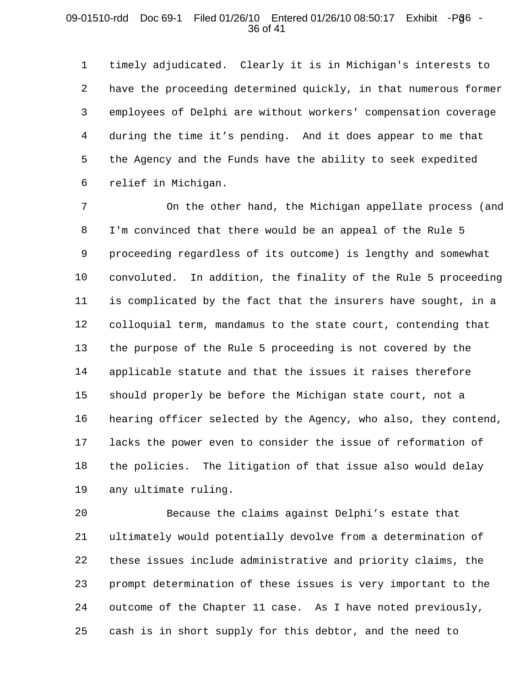#### 09-01510-rdd Doc 69-1 Filed 01/26/10 Entered 01/26/10 08:50:17 Exhibit -P§6 -36 of 41

1 2 3 4 5 6 timely adjudicated. Clearly it is in Michigan's interests to have the proceeding determined quickly, in that numerous former employees of Delphi are without workers' compensation coverage during the time it's pending. And it does appear to me that the Agency and the Funds have the ability to seek expedited relief in Michigan.

7 8 9 10 11 12 13 14 15 16 17 18 19 On the other hand, the Michigan appellate process (and I'm convinced that there would be an appeal of the Rule 5 proceeding regardless of its outcome) is lengthy and somewhat convoluted. In addition, the finality of the Rule 5 proceeding is complicated by the fact that the insurers have sought, in a colloquial term, mandamus to the state court, contending that the purpose of the Rule 5 proceeding is not covered by the applicable statute and that the issues it raises therefore should properly be before the Michigan state court, not a hearing officer selected by the Agency, who also, they contend, lacks the power even to consider the issue of reformation of the policies. The litigation of that issue also would delay any ultimate ruling.

20 21 22 23 24 25 Because the claims against Delphi's estate that ultimately would potentially devolve from a determination of these issues include administrative and priority claims, the prompt determination of these issues is very important to the outcome of the Chapter 11 case. As I have noted previously, cash is in short supply for this debtor, and the need to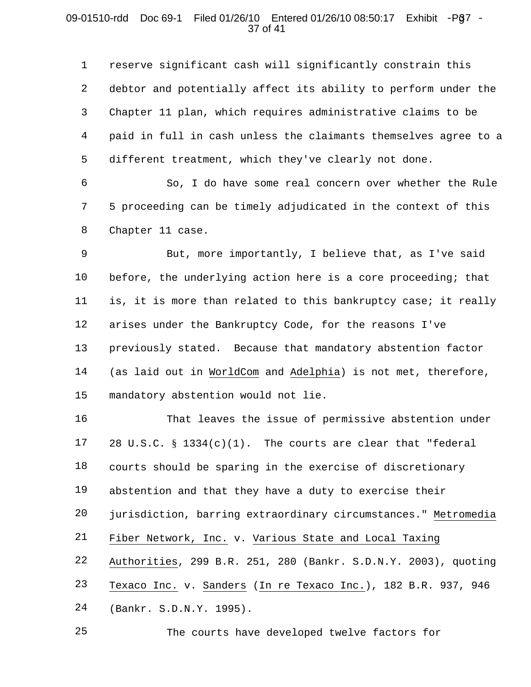## 09-01510-rdd Doc 69-1 Filed 01/26/10 Entered 01/26/10 08:50:17 Exhibit -P§7 -37 of 41

1 2 3 4 5 reserve significant cash will significantly constrain this debtor and potentially affect its ability to perform under the Chapter 11 plan, which requires administrative claims to be paid in full in cash unless the claimants themselves agree to a different treatment, which they've clearly not done.

6 7 8 So, I do have some real concern over whether the Rule 5 proceeding can be timely adjudicated in the context of this Chapter 11 case.

9 10 11 12 13 14 15 But, more importantly, I believe that, as I've said before, the underlying action here is a core proceeding; that is, it is more than related to this bankruptcy case; it really arises under the Bankruptcy Code, for the reasons I've previously stated. Because that mandatory abstention factor (as laid out in WorldCom and Adelphia) is not met, therefore, mandatory abstention would not lie.

16 17 18 19 20 21 22 23 24 That leaves the issue of permissive abstention under 28 U.S.C. § 1334(c)(1). The courts are clear that "federal courts should be sparing in the exercise of discretionary abstention and that they have a duty to exercise their jurisdiction, barring extraordinary circumstances." Metromedia Fiber Network, Inc. v. Various State and Local Taxing Authorities, 299 B.R. 251, 280 (Bankr. S.D.N.Y. 2003), quoting Texaco Inc. v. Sanders (In re Texaco Inc.), 182 B.R. 937, 946 (Bankr. S.D.N.Y. 1995).

25 The courts have developed twelve factors for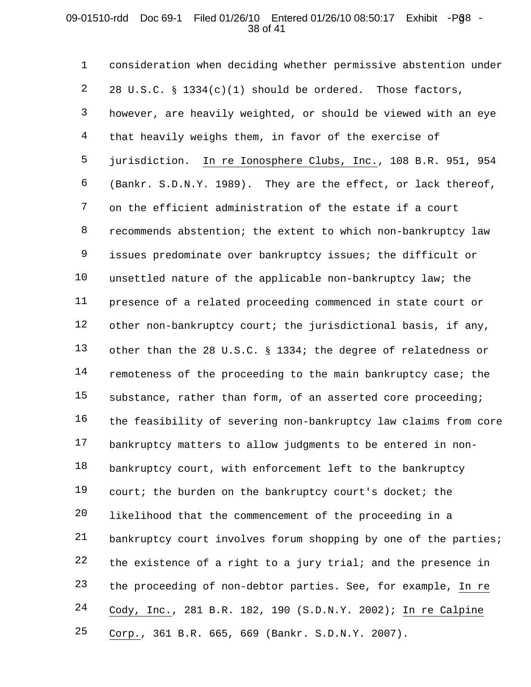## 09-01510-rdd Doc 69-1 Filed 01/26/10 Entered 01/26/10 08:50:17 Exhibit -P§8 -38 of 41

1 2 3 4 5 6 7 8 9 10 11 12 13 14 15 16 17 18 19 20 21 22 23 24 25 consideration when deciding whether permissive abstention under 28 U.S.C. § 1334(c)(1) should be ordered. Those factors, however, are heavily weighted, or should be viewed with an eye that heavily weighs them, in favor of the exercise of jurisdiction. In re Ionosphere Clubs, Inc., 108 B.R. 951, 954 (Bankr. S.D.N.Y. 1989). They are the effect, or lack thereof, on the efficient administration of the estate if a court recommends abstention; the extent to which non-bankruptcy law issues predominate over bankruptcy issues; the difficult or unsettled nature of the applicable non-bankruptcy law; the presence of a related proceeding commenced in state court or other non-bankruptcy court; the jurisdictional basis, if any, other than the 28 U.S.C. § 1334; the degree of relatedness or remoteness of the proceeding to the main bankruptcy case; the substance, rather than form, of an asserted core proceeding; the feasibility of severing non-bankruptcy law claims from core bankruptcy matters to allow judgments to be entered in nonbankruptcy court, with enforcement left to the bankruptcy court; the burden on the bankruptcy court's docket; the likelihood that the commencement of the proceeding in a bankruptcy court involves forum shopping by one of the parties; the existence of a right to a jury trial; and the presence in the proceeding of non-debtor parties. See, for example, In re Cody, Inc., 281 B.R. 182, 190 (S.D.N.Y. 2002); In re Calpine Corp., 361 B.R. 665, 669 (Bankr. S.D.N.Y. 2007).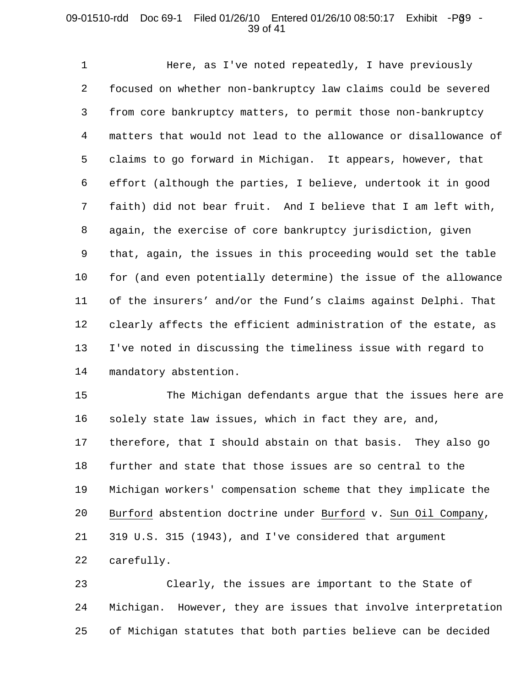### 09-01510-rdd Doc 69-1 Filed 01/26/10 Entered 01/26/10 08:50:17 Exhibit -P§9 -39 of 41

1 2 3 4 5 6 7 8 9 10 11 12 13 14 Here, as I've noted repeatedly, I have previously focused on whether non-bankruptcy law claims could be severed from core bankruptcy matters, to permit those non-bankruptcy matters that would not lead to the allowance or disallowance of claims to go forward in Michigan. It appears, however, that effort (although the parties, I believe, undertook it in good faith) did not bear fruit. And I believe that I am left with, again, the exercise of core bankruptcy jurisdiction, given that, again, the issues in this proceeding would set the table for (and even potentially determine) the issue of the allowance of the insurers' and/or the Fund's claims against Delphi. That clearly affects the efficient administration of the estate, as I've noted in discussing the timeliness issue with regard to mandatory abstention.

15 16 17 18 19 20 21 22 The Michigan defendants argue that the issues here are solely state law issues, which in fact they are, and, therefore, that I should abstain on that basis. They also go further and state that those issues are so central to the Michigan workers' compensation scheme that they implicate the Burford abstention doctrine under Burford v. Sun Oil Company, 319 U.S. 315 (1943), and I've considered that argument carefully.

23 24 25 Clearly, the issues are important to the State of Michigan. However, they are issues that involve interpretation of Michigan statutes that both parties believe can be decided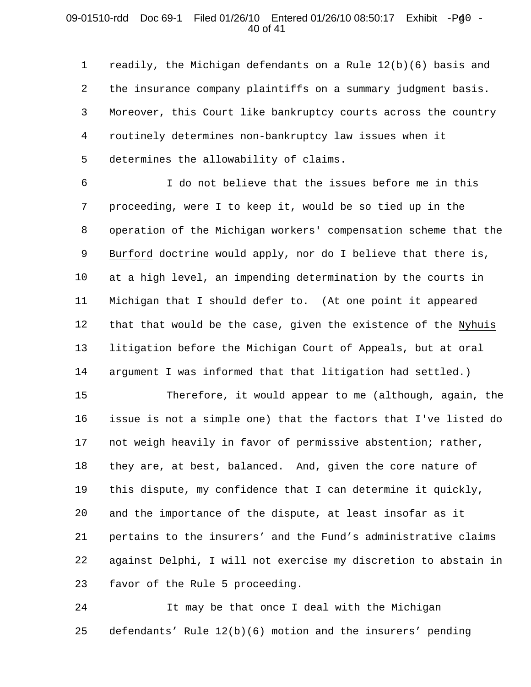#### 09-01510-rdd Doc 69-1 Filed 01/26/10 Entered 01/26/10 08:50:17 Exhibit -Pg0 -40 of 41

1 2 3 4 5 readily, the Michigan defendants on a Rule 12(b)(6) basis and the insurance company plaintiffs on a summary judgment basis. Moreover, this Court like bankruptcy courts across the country routinely determines non-bankruptcy law issues when it determines the allowability of claims.

6 7 8 9 10 11 12 13 14 I do not believe that the issues before me in this proceeding, were I to keep it, would be so tied up in the operation of the Michigan workers' compensation scheme that the Burford doctrine would apply, nor do I believe that there is, at a high level, an impending determination by the courts in Michigan that I should defer to. (At one point it appeared that that would be the case, given the existence of the Nyhuis litigation before the Michigan Court of Appeals, but at oral argument I was informed that that litigation had settled.)

15 16 17 18 19 20 21 22 23 Therefore, it would appear to me (although, again, the issue is not a simple one) that the factors that I've listed do not weigh heavily in favor of permissive abstention; rather, they are, at best, balanced. And, given the core nature of this dispute, my confidence that I can determine it quickly, and the importance of the dispute, at least insofar as it pertains to the insurers' and the Fund's administrative claims against Delphi, I will not exercise my discretion to abstain in favor of the Rule 5 proceeding.

24 25 It may be that once I deal with the Michigan defendants' Rule 12(b)(6) motion and the insurers' pending